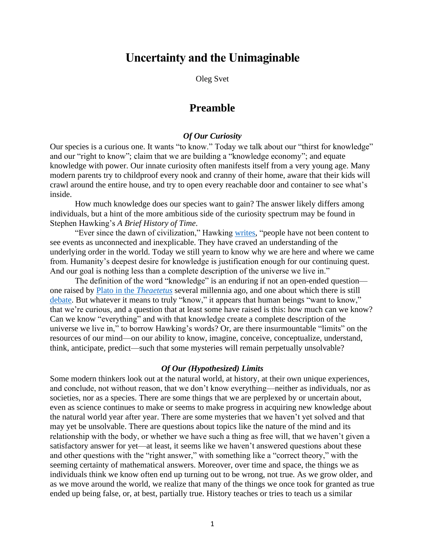# **Uncertainty and the Unimaginable**

Oleg Svet

# **Preamble**

## *Of Our Curiosity*

Our species is a curious one. It wants "to know." Today we talk about our "thirst for knowledge" and our "right to know"; claim that we are building a "knowledge economy"; and equate knowledge with power. Our innate curiosity often manifests itself from a very young age. Many modern parents try to childproof every nook and cranny of their home, aware that their kids will crawl around the entire house, and try to open every reachable door and container to see what's inside.

How much knowledge does our species want to gain? The answer likely differs among individuals, but a hint of the more ambitious side of the curiosity spectrum may be found in Stephen Hawking's *A Brief History of Time*.

"Ever since the dawn of civilization," Hawking [writes,](https://www.google.com/books/edition/A_Brief_History_of_Time/oZhagX6UWOMC?hl=en&gbpv=1&dq=a+brief+history+of+time+nothing+less+than+a+complete+description+of+the+universe+we+live+in&pg=PA14&printsec=frontcover) "people have not been content to see events as unconnected and inexplicable. They have craved an understanding of the underlying order in the world. Today we still yearn to know why we are here and where we came from. Humanity's deepest desire for knowledge is justification enough for our continuing quest. And our goal is nothing less than a complete description of the universe we live in."

The definition of the word "knowledge" is an enduring if not an open-ended question one raised by [Plato in the](https://plato.stanford.edu/entries/plato-theaetetus/) *Theaetetus* several millennia ago, and one about which there is still [debate.](https://plato.stanford.edu/entries/knowledge-analysis/) But whatever it means to truly "know," it appears that human beings "want to know," that we're curious, and a question that at least some have raised is this: how much can we know? Can we know "everything" and with that knowledge create a complete description of the universe we live in," to borrow Hawking's words? Or, are there insurmountable "limits" on the resources of our mind—on our ability to know, imagine, conceive, conceptualize, understand, think, anticipate, predict—such that some mysteries will remain perpetually unsolvable?

#### *Of Our (Hypothesized) Limits*

Some modern thinkers look out at the natural world, at history, at their own unique experiences, and conclude, not without reason, that we don't know everything—neither as individuals, nor as societies, nor as a species. There are some things that we are perplexed by or uncertain about, even as science continues to make or seems to make progress in acquiring new knowledge about the natural world year after year. There are some mysteries that we haven't yet solved and that may yet be unsolvable. There are questions about topics like the nature of the mind and its relationship with the body, or whether we have such a thing as free will, that we haven't given a satisfactory answer for yet—at least, it seems like we haven't answered questions about these and other questions with the "right answer," with something like a "correct theory," with the seeming certainty of mathematical answers. Moreover, over time and space, the things we as individuals think we know often end up turning out to be wrong, not true. As we grow older, and as we move around the world, we realize that many of the things we once took for granted as true ended up being false, or, at best, partially true. History teaches or tries to teach us a similar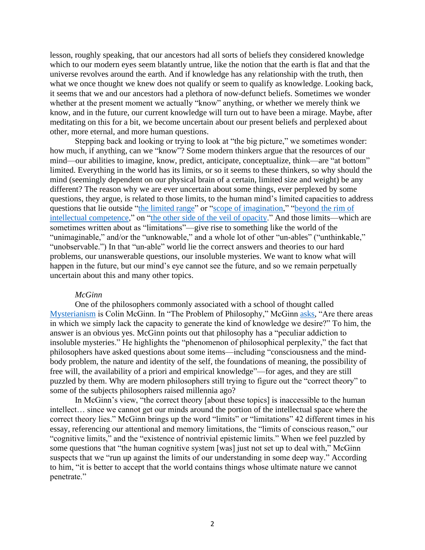lesson, roughly speaking, that our ancestors had all sorts of beliefs they considered knowledge which to our modern eyes seem blatantly untrue, like the notion that the earth is flat and that the universe revolves around the earth. And if knowledge has any relationship with the truth, then what we once thought we knew does not qualify or seem to qualify as knowledge. Looking back, it seems that we and our ancestors had a plethora of now-defunct beliefs. Sometimes we wonder whether at the present moment we actually "know" anything, or whether we merely think we know, and in the future, our current knowledge will turn out to have been a mirage. Maybe, after meditating on this for a bit, we become uncertain about our present beliefs and perplexed about other, more eternal, and more human questions.

Stepping back and looking or trying to look at "the big picture," we sometimes wonder: how much, if anything, can we "know"? Some modern thinkers argue that the resources of our mind—our abilities to imagine, know, predict, anticipate, conceptualize, think—are "at bottom" limited. Everything in the world has its limits, or so it seems to these thinkers, so why should the mind (seemingly dependent on our physical brain of a certain, limited size and weight) be any different? The reason why we are ever uncertain about some things, ever perplexed by some questions, they argue, is related to those limits, to the human mind's limited capacities to address questions that lie outside ["the limited range"](https://www.google.com/books/edition/Mortal_Questions_Canto_Classics/pSfbnl-E5QgC?hl=en&gbpv=1&bsq=Our%20own%20experience%20provides%20the%20basic%20material%20for%20our%20imagination,%20whose%20range%20is%20therefore%20limited) or ["scope of imagination,](https://www.google.com/books/edition/Radical_Uncertainty_Decision_Making_Beyo/HSefDwAAQBAJ?hl=en&gbpv=1&bsq=just%20not%20within%20the%20scope%20of%20imagination)" ["beyond](https://www.nyu.edu/gsas/dept/philo/courses/consciousness97/papers/ProblemOfPhilosophy.html) the rim of [intellectual competence,](https://www.nyu.edu/gsas/dept/philo/courses/consciousness97/papers/ProblemOfPhilosophy.html)" on ["the other side of the veil of opacity.](https://www.google.com/books/edition/The_Bed_of_Procrustes/tkr_03qNJmoC?hl=en&gbpv=1&dq=taleb+unobservables+on+the+other+side+of+the+veil+of+opacity&pg=PA105&printsec=frontcover)" And those limits—which are sometimes written about as "limitations"—give rise to something like the world of the "unimaginable," and/or the "unknowable," and a whole lot of other "un-ables" ("unthinkable," "unobservable.") In that "un-able" world lie the correct answers and theories to our hard problems, our unanswerable questions, our insoluble mysteries. We want to know what will happen in the future, but our mind's eye cannot see the future, and so we remain perpetually uncertain about this and many other topics.

#### *McGinn*

One of the philosophers commonly associated with a school of thought called [Mysterianism](https://en.wikipedia.org/wiki/New_mysterianism) is Colin McGinn. In "The Problem of Philosophy," McGinn [asks,](https://www.nyu.edu/gsas/dept/philo/courses/consciousness97/papers/ProblemOfPhilosophy.html) "Are there areas in which we simply lack the capacity to generate the kind of knowledge we desire?" To him, the answer is an obvious yes. McGinn points out that philosophy has a "peculiar addiction to insoluble mysteries." He highlights the "phenomenon of philosophical perplexity," the fact that philosophers have asked questions about some items—including "consciousness and the mindbody problem, the nature and identity of the self, the foundations of meaning, the possibility of free will, the availability of a priori and empirical knowledge"—for ages, and they are still puzzled by them. Why are modern philosophers still trying to figure out the "correct theory" to some of the subjects philosophers raised millennia ago?

In McGinn's view, "the correct theory [about these topics] is inaccessible to the human intellect… since we cannot get our minds around the portion of the intellectual space where the correct theory lies." McGinn brings up the word "limits" or "limitations" 42 different times in his essay, referencing our attentional and memory limitations, the "limits of conscious reason," our "cognitive limits," and the "existence of nontrivial epistemic limits." When we feel puzzled by some questions that "the human cognitive system [was] just not set up to deal with," McGinn suspects that we "run up against the limits of our understanding in some deep way." According to him, "it is better to accept that the world contains things whose ultimate nature we cannot penetrate."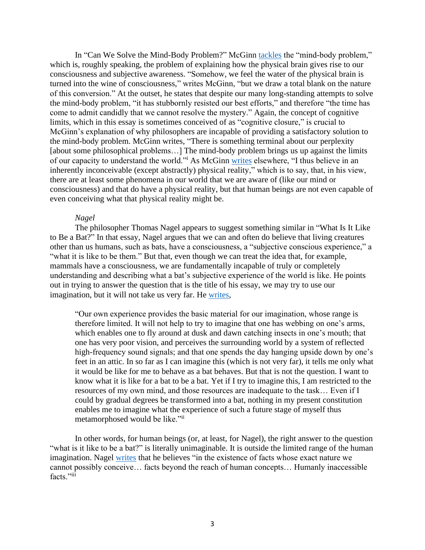In "Can We Solve the Mind-Body Problem?" McGinn [tackles](http://course.sdu.edu.cn/Download2/20140912122827969.pdf) the "mind-body problem," which is, roughly speaking, the problem of explaining how the physical brain gives rise to our consciousness and subjective awareness. "Somehow, we feel the water of the physical brain is turned into the wine of consciousness," writes McGinn, "but we draw a total blank on the nature of this conversion." At the outset, he states that despite our many long-standing attempts to solve the mind-body problem, "it has stubbornly resisted our best efforts," and therefore "the time has come to admit candidly that we cannot resolve the mystery." Again, the concept of cognitive limits, which in this essay is sometimes conceived of as "cognitive closure," is crucial to McGinn's explanation of why philosophers are incapable of providing a satisfactory solution to the mind-body problem. McGinn writes, "There is something terminal about our perplexity [about some philosophical problems...] The mind-body problem brings us up against the limits of our capacity to understand the world."<sup>i</sup> As McGinn [writes](https://www.colinmcginn.net/consciousnes-as-the-only-reality/) elsewhere, "I thus believe in an inherently inconceivable (except abstractly) physical reality," which is to say, that, in his view, there are at least some phenomena in our world that we are aware of (like our mind or consciousness) and that do have a physical reality, but that human beings are not even capable of even conceiving what that physical reality might be.

#### *Nagel*

The philosopher Thomas Nagel appears to suggest something similar in "What Is It Like to Be a Bat?" In that essay, Nagel argues that we can and often do believe that living creatures other than us humans, such as bats, have a consciousness, a "subjective conscious experience," a "what it is like to be them." But that, even though we can treat the idea that, for example, mammals have a consciousness, we are fundamentally incapable of truly or completely understanding and describing what a bat's subjective experience of the world is like. He points out in trying to answer the question that is the title of his essay, we may try to use our imagination, but it will not take us very far. He [writes,](https://www.google.com/books/edition/Mortal_Questions_Canto_Classics/pSfbnl-E5QgC?hl=en&gbpv=1&bsq=Our%20own%20experience%20provides%20the%20basic%20material%20for%20our%20imagination,%20whose%20range%20is%20therefore%20limited)

"Our own experience provides the basic material for our imagination, whose range is therefore limited. It will not help to try to imagine that one has webbing on one's arms, which enables one to fly around at dusk and dawn catching insects in one's mouth; that one has very poor vision, and perceives the surrounding world by a system of reflected high-frequency sound signals; and that one spends the day hanging upside down by one's feet in an attic. In so far as I can imagine this (which is not very far), it tells me only what it would be like for me to behave as a bat behaves. But that is not the question. I want to know what it is like for a bat to be a bat. Yet if I try to imagine this, I am restricted to the resources of my own mind, and those resources are inadequate to the task… Even if I could by gradual degrees be transformed into a bat, nothing in my present constitution enables me to imagine what the experience of such a future stage of myself thus metamorphosed would be like."ii

In other words, for human beings (or, at least, for Nagel), the right answer to the question "what is it like to be a bat?" is literally unimaginable. It is outside the limited range of the human imagination. Nagel [writes](https://www.google.com/books/edition/Mortal_Questions_Canto_Classics/pSfbnl-E5QgC?hl=en&gbpv=1&dq=thomas+nagel+the+existence+of+facts%E2%80%A6+whose+exact+nature+we+cannot+possibly+conceive&pg=PA170&printsec=frontcover) that he believes "in the existence of facts whose exact nature we cannot possibly conceive… facts beyond the reach of human concepts… Humanly inaccessible facts."iii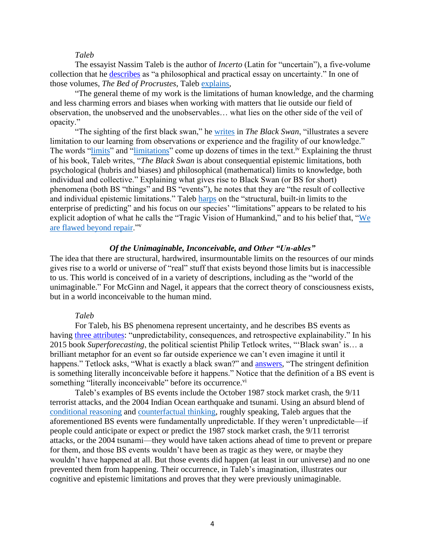#### *Taleb*

The essayist Nassim Taleb is the author of *Incerto* (Latin for "uncertain"), a five-volume collection that he [describes](https://www.fooledbyrandomness.com/) as "a philosophical and practical essay on uncertainty." In one of those volumes, *The Bed of Procrustes*, Taleb [explains,](https://www.google.com/books/edition/Incerto_5_Book_Bundle/6aYFEAAAQBAJ?hl=en&gbpv=1&dq=taleb+general+theme+of+my+work+is+the+limitations+human+knowledge&pg=PT683&printsec=frontcover)

"The general theme of my work is the limitations of human knowledge, and the charming and less charming errors and biases when working with matters that lie outside our field of observation, the unobserved and the unobservables… what lies on the other side of the veil of opacity."

"The sighting of the first black swan," he [writes](https://www.google.com/books/edition/The_Black_Swan/gWW4SkJjM08C?hl=en&gbpv=1&bsq=illustrates%20a%20severe%20limitation%20to%20our%20learning%20from%20observations%20or%20experience) in *The Black Swan*, "illustrates a severe limitation to our learning from observations or experience and the fragility of our knowledge." The words ["limits"](https://www.google.com/books/edition/The_Black_Swan_Second_Edition/h2WMDQAAQBAJ?hl=en&gbpv=1&bsq=limits) and ["limitations"](https://www.google.com/books/edition/The_Black_Swan_Second_Edition/h2WMDQAAQBAJ?hl=en&gbpv=1&bsq=limitations) come up dozens of times in the text.<sup>iv</sup> Explaining the thrust of his book, Taleb writes, "*The Black Swan* is about consequential epistemic limitations, both psychological (hubris and biases) and philosophical (mathematical) limits to knowledge, both individual and collective." Explaining what gives rise to Black Swan (or BS for short) phenomena (both BS "things" and BS "events"), he notes that they are "the result of collective and individual epistemic limitations." Taleb [harps](https://www.google.com/books/edition/The_Black_Swan/gWW4SkJjM08C?hl=en&gbpv=1&bsq=structural,%20built-in%20limits%20to%20the%20enterprise%20of%20predicting) on the "structural, built-in limits to the enterprise of predicting" and his focus on our species' "limitations" appears to be related to his explicit adoption of what he calls the "Tragic Vision of Humankind," and to his belief that, ["We](https://www.google.com/books/edition/Fooled_by_Randomness/DCqFYOrGyegC?hl=en&gbpv=1&bsq=flawed%20beyond%20repair)  [are flawed beyond repair.](https://www.google.com/books/edition/Fooled_by_Randomness/DCqFYOrGyegC?hl=en&gbpv=1&bsq=flawed%20beyond%20repair)"<sup>v</sup>

### *Of the Unimaginable, Inconceivable, and Other "Un-ables"*

The idea that there are structural, hardwired, insurmountable limits on the resources of our minds gives rise to a world or universe of "real" stuff that exists beyond those limits but is inaccessible to us. This world is conceived of in a variety of descriptions, including as the "world of the unimaginable." For McGinn and Nagel, it appears that the correct theory of consciousness exists, but in a world inconceivable to the human mind.

#### *Taleb*

For Taleb, his BS phenomena represent uncertainty, and he describes BS events as having [three attributes:](https://www.google.com/books/edition/The_Black_Swan/gWW4SkJjM08C?hl=en&gbpv=1&bsq=I%20have%20said%20that%20the%20Black%20Swan%20has%20three%20attributes:%20unpredictability,%20consequences,%20and%20retrospective%20explainability) "unpredictability, consequences, and retrospective explainability." In his 2015 book *Superforecasting*, the political scientist Philip Tetlock writes, "'Black swan' is… a brilliant metaphor for an event so far outside experience we can't even imagine it until it happens." Tetlock asks, "What is exactly a black swan?" and [answers,](https://www.google.com/books/edition/Superforecasting/hC_qBQAAQBAJ?hl=en&gbpv=1&bsq=inconceivable) "The stringent definition is something literally inconceivable before it happens." Notice that the definition of a BS event is something "literally inconceivable" before its occurrence.<sup>vi</sup>

Taleb's examples of BS events include the October 1987 stock market crash, the 9/11 terrorist attacks, and the 2004 Indian Ocean earthquake and tsunami. Using an absurd blend of [conditional reasoning](https://www.oxfordreference.com/view/10.1093/oi/authority.20110803095631111) and [counterfactual thinking,](https://en.wikipedia.org/wiki/Counterfactual_thinking) roughly speaking, Taleb argues that the aforementioned BS events were fundamentally unpredictable. If they weren't unpredictable—if people could anticipate or expect or predict the 1987 stock market crash, the 9/11 terrorist attacks, or the 2004 tsunami—they would have taken actions ahead of time to prevent or prepare for them, and those BS events wouldn't have been as tragic as they were, or maybe they wouldn't have happened at all. But those events did happen (at least in our universe) and no one prevented them from happening. Their occurrence, in Taleb's imagination, illustrates our cognitive and epistemic limitations and proves that they were previously unimaginable.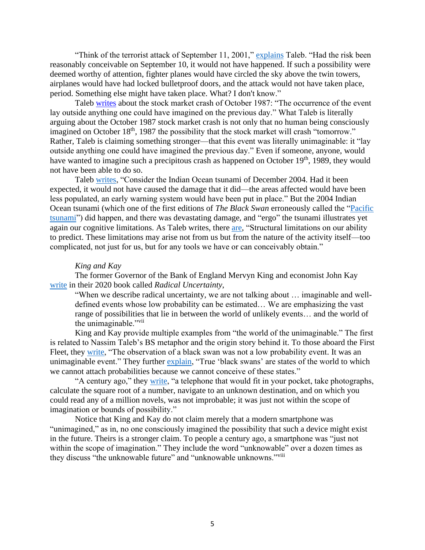"Think of the terrorist attack of September 11, 2001," [explains](https://www.google.com/books/edition/_/h2WMDQAAQBAJ?gbpv=1&bsq=think%20of%20the%20terrorist%20attack%20of%20september%2011) Taleb. "Had the risk been reasonably conceivable on September 10, it would not have happened. If such a possibility were deemed worthy of attention, fighter planes would have circled the sky above the twin towers, airplanes would have had locked bulletproof doors, and the attack would not have taken place, period. Something else might have taken place. What? I don't know."

Taleb [writes](https://www.google.com/books/edition/The_Black_Swan/gWW4SkJjM08C?hl=en&gbpv=1&bsq=The%20occurrence%20of%20the%20event%20lay%20outside%20anything%20one%20could%20have%20imagined%20on%20the%20previous%20day) about the stock market crash of October 1987: "The occurrence of the event lay outside anything one could have imagined on the previous day." What Taleb is literally arguing about the October 1987 stock market crash is not only that no human being consciously imagined on October 18<sup>th</sup>, 1987 the possibility that the stock market will crash "tomorrow." Rather, Taleb is claiming something stronger—that this event was literally unimaginable: it "lay outside anything one could have imagined the previous day." Even if someone, anyone, would have wanted to imagine such a precipitous crash as happened on October  $19<sup>th</sup>$ , 1989, they would not have been able to do so.

Taleb [writes,](https://www.google.com/books/edition/_/h2WMDQAAQBAJ?gbpv=1&bsq=indian%20ocean) "Consider the Indian Ocean tsunami of December 2004. Had it been expected, it would not have caused the damage that it did—the areas affected would have been less populated, an early warning system would have been put in place." But the 2004 Indian Ocean tsunami (which one of the first editions of *The Black Swan* erroneously called the ["Pacific](https://www.google.com/books/edition/_/YdOYmYA2TJYC?gbpv=1&bsq=pacific%20tsunami)  [tsunami"](https://www.google.com/books/edition/_/YdOYmYA2TJYC?gbpv=1&bsq=pacific%20tsunami)) did happen, and there was devastating damage, and "ergo" the tsunami illustrates yet again our cognitive limitations. As Taleb writes, there [are,](https://www.google.com/books/edition/The_Black_Swan_Second_Edition/GSBcQVd3MqYC?hl=en&gbpv=1&dq=black+swan+Structural+limitations+on+our+ability+to+predict.+These+limitations+may+arise+not+from+us+but+from+the+nature+of+the+activity+itself%E2%80%94too+complicated,+not+just+for+us,+but+for+any+tools+we+have+or+can+conceivable+obtain.+Some+Black+Swans+will+remain+elusive,+enough+to+kill+our+forecasts&pg=PA165&printsec=frontcover) "Structural limitations on our ability to predict. These limitations may arise not from us but from the nature of the activity itself—too complicated, not just for us, but for any tools we have or can conceivably obtain."

#### *King and Kay*

The former Governor of the Bank of England Mervyn King and economist John Kay [write](https://www.google.com/books/edition/Radical_Uncertainty_Decision_Making_Beyo/HSefDwAAQBAJ?hl=en&gbpv=1&dq=king+kay+radical+uncertainty+imaginable+and+the+world+of+the+unimaginable&pg=PT19&printsec=frontcover) in their 2020 book called *Radical Uncertainty*,

"When we describe radical uncertainty, we are not talking about … imaginable and welldefined events whose low probability can be estimated… We are emphasizing the vast range of possibilities that lie in between the world of unlikely events… and the world of the unimaginable."<sup>vii</sup>

King and Kay provide multiple examples from "the world of the unimaginable." The first is related to Nassim Taleb's BS metaphor and the origin story behind it. To those aboard the First Fleet, they [write,](https://www.google.com/books/edition/Radical_Uncertainty_Decision_Making_Beyo/HSefDwAAQBAJ?hl=en&gbpv=1&bsq=it%20was%20an%20unimaginable%20event) "The observation of a black swan was not a low probability event. It was an unimaginable event." They further [explain,](https://www.google.com/books/edition/Radical_Uncertainty_Decision_Making_Beyo/HSefDwAAQBAJ?hl=en&gbpv=1&bsq=states%20of%20the%20world%20to%20which%20we%20cannot%20attach) "True 'black swans' are states of the world to which we cannot attach probabilities because we cannot conceive of these states."

"A century ago," they [write,](https://www.google.com/books/edition/Radical_Uncertainty_Decision_Making_Beyo/HSefDwAAQBAJ?hl=en&gbpv=1&bsq=just%20not%20within%20the%20scope%20of%20imagination) "a telephone that would fit in your pocket, take photographs, calculate the square root of a number, navigate to an unknown destination, and on which you could read any of a million novels, was not improbable; it was just not within the scope of imagination or bounds of possibility."

Notice that King and Kay do not claim merely that a modern smartphone was "unimagined," as in, no one consciously imagined the possibility that such a device might exist in the future. Theirs is a stronger claim. To people a century ago, a smartphone was "just not within the scope of imagination." They include the word "unknowable" over a dozen times as they discuss "the unknowable future" and "unknowable unknowns."<sup>viii</sup>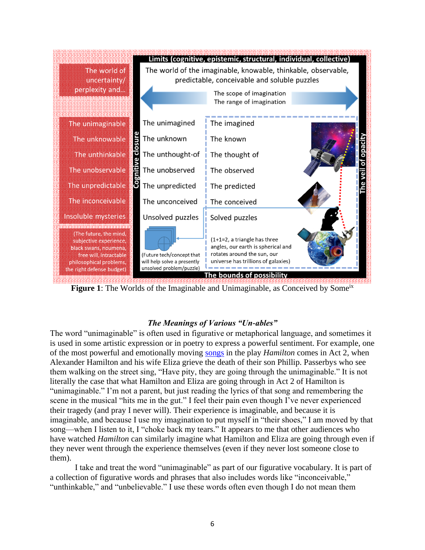

**Figure 1**: The Worlds of the Imaginable and Unimaginable, as Conceived by Some<sup>ix</sup>

## *The Meanings of Various "Un-ables"*

The word "unimaginable" is often used in figurative or metaphorical language, and sometimes it is used in some artistic expression or in poetry to express a powerful sentiment. For example, one of the most powerful and emotionally moving [songs](https://en.wikipedia.org/wiki/It%27s_Quiet_Uptown) in the play *Hamilton* comes in Act 2, when Alexander Hamilton and his wife Eliza grieve the death of their son Phillip. Passerbys who see them walking on the street sing, "Have pity, they are going through the unimaginable." It is not literally the case that what Hamilton and Eliza are going through in Act 2 of Hamilton is "unimaginable." I'm not a parent, but just reading the lyrics of that song and remembering the scene in the musical "hits me in the gut." I feel their pain even though I've never experienced their tragedy (and pray I never will). Their experience is imaginable, and because it is imaginable, and because I use my imagination to put myself in "their shoes," I am moved by that song—when I listen to it, I "choke back my tears." It appears to me that other audiences who have watched *Hamilton* can similarly imagine what Hamilton and Eliza are going through even if they never went through the experience themselves (even if they never lost someone close to them).

I take and treat the word "unimaginable" as part of our figurative vocabulary. It is part of a collection of figurative words and phrases that also includes words like "inconceivable," "unthinkable," and "unbelievable." I use these words often even though I do not mean them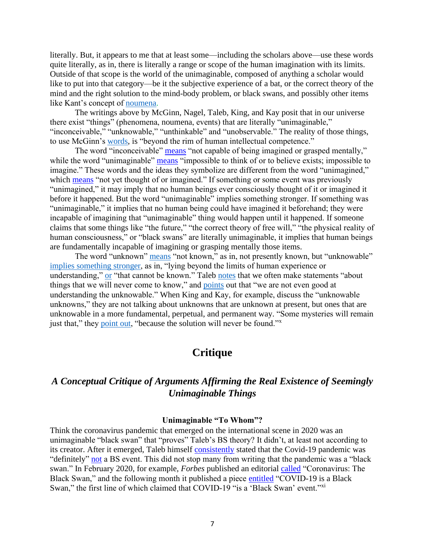literally. But, it appears to me that at least some—including the scholars above—use these words quite literally, as in, there is literally a range or scope of the human imagination with its limits. Outside of that scope is the world of the unimaginable, composed of anything a scholar would like to put into that category—be it the subjective experience of a bat, or the correct theory of the mind and the right solution to the mind-body problem, or black swans, and possibly other items like Kant's concept of [noumena.](https://en.wikipedia.org/wiki/Noumenon)

The writings above by McGinn, Nagel, Taleb, King, and Kay posit that in our universe there exist "things" (phenomena, noumena, events) that are literally "unimaginable," "inconceivable," "unknowable," "unthinkable" and "unobservable." The reality of those things, to use McGinn's [words,](https://www.nyu.edu/gsas/dept/philo/courses/consciousness97/papers/ProblemOfPhilosophy.html) is "beyond the rim of human intellectual competence."

The word "inconceivable" [means](https://www.lexico.com/en/definition/inconceivable) "not capable of being imagined or grasped mentally," while the word "unimaginable" [means](https://www.oxfordlearnersdictionaries.com/us/definition/english/unimaginable) "impossible to think of or to believe exists; impossible to imagine." These words and the ideas they symbolize are different from the word "unimagined," which [means](https://www.merriam-webster.com/dictionary/unimagined) "not yet thought of or imagined." If something or some event was previously "unimagined," it may imply that no human beings ever consciously thought of it or imagined it before it happened. But the word "unimaginable" implies something stronger. If something was "unimaginable," it implies that no human being could have imagined it beforehand; they were incapable of imagining that "unimaginable" thing would happen until it happened. If someone claims that some things like "the future," "the correct theory of free will," "the physical reality of human consciousness," or "black swans" are literally unimaginable, it implies that human beings are fundamentally incapable of imagining or grasping mentally those items.

The word "unknown" [means](https://www.merriam-webster.com/dictionary/unknown) "not known," as in, not presently known, but "unknowable" [implies something stronger,](https://www.merriam-webster.com/dictionary/unknowable) as in, "lying beyond the limits of human experience or understanding," [or](https://www.oxfordlearnersdictionaries.com/us/definition/english/unknowable) "that cannot be known." Taleb [notes](https://www.google.com/books/edition/The_Black_Swan_Second_Edition/h2WMDQAAQBAJ?hl=en&gbpv=1&bsq=things%20that%20we%20will%20never%20come%20to%20know) that we often make statements "about things that we will never come to know," and [points](https://www.google.com/books/edition/The_Black_Swan_Second_Edition/h2WMDQAAQBAJ?hl=en&gbpv=1&bsq=we%20are%20not%20even%20good%20at%20understanding%20the%20unknowable) out that "we are not even good at understanding the unknowable." When King and Kay, for example, discuss the "unknowable unknowns," they are not talking about unknowns that are unknown at present, but ones that are unknowable in a more fundamental, perpetual, and permanent way. "Some mysteries will remain just that," they [point out,](https://books.google.com/books?id=HSefDwAAQBAJ&pg=PT34&lpg=PT34&dq=king+kay+over+the+course+of+a+century+the+scope+of+mysteries+has+been+diminished+and+the+effects+of+weather+on+bridges+some+mysteries+will+remain+just+that+because+the&source=bl&ots=FI_OxnF71n&sig=ACfU3U3UX3Ea0eTFNwq3Tf_O7kyIA1w2Xg&hl=en&sa=X&ved=2ahUKEwigssDS5c31AhXjoXIEHeKNC6cQ6AF6BAgCEAM#v=onepage&q=some%20mysteries%20will%20remain&f=false) "because the solution will never be found."

# **Critique**

# *A Conceptual Critique of Arguments Affirming the Real Existence of Seemingly Unimaginable Things*

### **Unimaginable "To Whom"?**

Think the coronavirus pandemic that emerged on the international scene in 2020 was an unimaginable "black swan" that "proves" Taleb's BS theory? It didn't, at least not according to its creator. After it emerged, Taleb himself [consistently](https://www.youtube.com/watch?v=Tb2pXXUSzmI) stated that the Covid-19 pandemic was "definitely" [not](https://www.youtube.com/watch?v=kANQLqacbyg) a BS event. This did not stop many from writing that the pandemic was a "black swan." In February 2020, for example, *Forbes* published an editorial [called](https://www.forbes.com/sites/greatspeculations/2020/02/25/coronavirus-the-black-swan/?sh=78dfcc742d3a) "Coronavirus: The Black Swan," and the following month it published a piece [entitled](https://www.forbes.com/sites/forbesbooksauthors/2020/03/19/covid-19-is-a-black-swan/?sh=6d5e73107b4b) "COVID-19 is a Black Swan," the first line of which claimed that COVID-19 "is a 'Black Swan' event."<sup>xi</sup>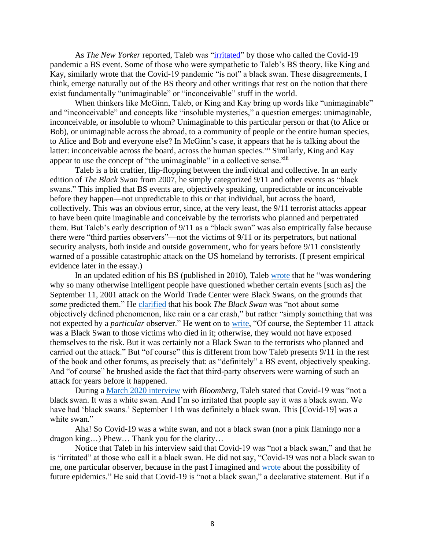As *The New Yorker* reported, Taleb was "*irritated*" by those who called the Covid-19 pandemic a BS event. Some of those who were sympathetic to Taleb's BS theory, like King and Kay, similarly wrote that the Covid-19 pandemic "is not" a black swan. These disagreements, I think, emerge naturally out of the BS theory and other writings that rest on the notion that there exist fundamentally "unimaginable" or "inconceivable" stuff in the world.

When thinkers like McGinn, Taleb, or King and Kay bring up words like "unimaginable" and "inconceivable" and concepts like "insoluble mysteries," a question emerges: unimaginable, inconceivable, or insoluble to whom? Unimaginable to this particular person or that (to Alice or Bob), or unimaginable across the abroad, to a community of people or the entire human species, to Alice and Bob and everyone else? In McGinn's case, it appears that he is talking about the latter: inconceivable across the board, across the human species.<sup>xii</sup> Similarly, King and Kay appear to use the concept of "the unimaginable" in a collective sense.<sup>xiii</sup>

Taleb is a bit craftier, flip-flopping between the individual and collective. In an early edition of *The Black Swan* from 2007, he simply categorized 9/11 and other events as "black swans." This implied that BS events are, objectively speaking, unpredictable or inconceivable before they happen—not unpredictable to this or that individual, but across the board, collectively. This was an obvious error, since, at the very least, the 9/11 terrorist attacks appear to have been quite imaginable and conceivable by the terrorists who planned and perpetrated them. But Taleb's early description of 9/11 as a "black swan" was also empirically false because there were "third parties observers"—not the victims of 9/11 or its perpetrators, but national security analysts, both inside and outside government, who for years before 9/11 consistently warned of a possible catastrophic attack on the US homeland by terrorists. (I present empirical evidence later in the essay.)

In an updated edition of his BS (published in 2010), Taleb [wrote](https://www.google.com/books/edition/The_Black_Swan_Second_Edition/h2WMDQAAQBAJ?hl=en&gbpv=1&bsq=why%20so%20many%20otherwise%20intelligent%20people%20questioned%20whether%20certain%20events) that he "was wondering why so many otherwise intelligent people have questioned whether certain events [such as] the September 11, 2001 attack on the World Trade Center were Black Swans, on the grounds that *some* predicted them." He [clarified](https://www.google.com/books/edition/The_Black_Swan_Second_Edition/h2WMDQAAQBAJ?hl=en&gbpv=1&bsq=not%20about%20some%20objectively%20defined%20phenomenon%20simply%20particular%20observer) that his book *The Black Swan* was "not about some objectively defined phenomenon, like rain or a car crash," but rather "simply something that was not expected by a *particular* observer." He went on to [write,](https://www.google.com/books/edition/The_Black_Swan_Second_Edition/h2WMDQAAQBAJ?hl=en&gbpv=1&bsq=of%20course%20september) "Of course, the September 11 attack was a Black Swan to those victims who died in it; otherwise, they would not have exposed themselves to the risk. But it was certainly not a Black Swan to the terrorists who planned and carried out the attack." But "of course" this is different from how Taleb presents 9/11 in the rest of the book and other forums, as precisely that: as "definitely" a BS event, objectively speaking. And "of course" he brushed aside the fact that third-party observers were warning of such an attack for years before it happened.

During a [March 2020 interview](https://www.bloomberg.com/news/videos/2020-03-31/nassim-taleb-says-white-swan-coronavirus-pandemic-was-preventable-video) with *Bloomberg*, Taleb stated that Covid-19 was "not a black swan. It was a white swan. And I'm so irritated that people say it was a black swan. We have had 'black swans.' September 11th was definitely a black swan. This [Covid-19] was a white swan."

Aha! So Covid-19 was a white swan, and not a black swan (nor a pink flamingo nor a dragon king…) Phew… Thank you for the clarity…

Notice that Taleb in his interview said that Covid-19 was "not a black swan," and that he is "irritated" at those who call it a black swan. He did not say, "Covid-19 was not a black swan to me, one particular observer, because in the past I imagined and [wrote](https://www.google.com/books/edition/The_Black_Swan_Second_Edition/h2WMDQAAQBAJ?hl=en&gbpv=1&bsq=epidemics%20will%20be%20more%20acute) about the possibility of future epidemics." He said that Covid-19 is "not a black swan," a declarative statement. But if a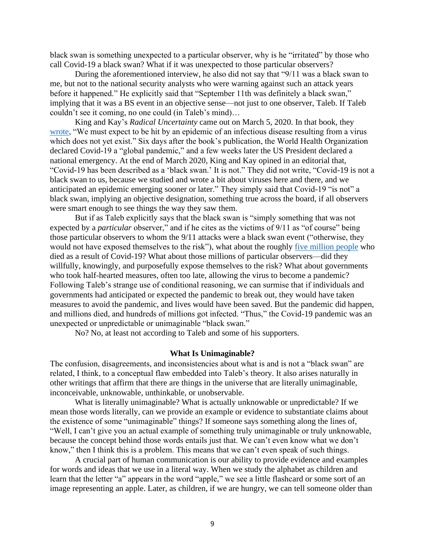black swan is something unexpected to a particular observer, why is he "irritated" by those who call Covid-19 a black swan? What if it was unexpected to those particular observers?

During the aforementioned interview, he also did not say that "9/11 was a black swan to me, but not to the national security analysts who were warning against such an attack years before it happened." He explicitly said that "September 11th was definitely a black swan," implying that it was a BS event in an objective sense—not just to one observer, Taleb. If Taleb couldn't see it coming, no one could (in Taleb's mind)…

King and Kay's *Radical Uncertainty* came out on March 5, 2020. In that book, they [wrote,](file://///usr.osd.mil/Home/JS/j7/sveto/Downloads/We%20must%20expect%20to%20be%20hit%20by%20an%20epidemic%20of%20an%20infectious%20disease%20resulting%20from%20a%20virus%20which%20does%20not%20yet%20exist) "We must expect to be hit by an epidemic of an infectious disease resulting from a virus which does not yet exist." Six days after the book's publication, the World Health Organization declared Covid-19 a "global pandemic," and a few weeks later the US President declared a national emergency. At the end of March 2020, King and Kay opined in an editorial that, "Covid-19 has been described as a 'black swan.' It is not." They did not write, "Covid-19 is not a black swan to us, because we studied and wrote a bit about viruses here and there, and we anticipated an epidemic emerging sooner or later." They simply said that Covid-19 "is not" a black swan, implying an objective designation, something true across the board, if all observers were smart enough to see things the way they saw them.

But if as Taleb explicitly says that the black swan is "simply something that was not expected by a *particular* observer," and if he cites as the victims of 9/11 as "of course" being those particular observers to whom the 9/11 attacks were a black swan event ("otherwise, they would not have exposed themselves to the risk"), what about the roughly [five million people](https://www.nature.com/articles/d41586-022-00104-8) who died as a result of Covid-19? What about those millions of particular observers—did they willfully, knowingly, and purposefully expose themselves to the risk? What about governments who took half-hearted measures, often too late, allowing the virus to become a pandemic? Following Taleb's strange use of conditional reasoning, we can surmise that if individuals and governments had anticipated or expected the pandemic to break out, they would have taken measures to avoid the pandemic, and lives would have been saved. But the pandemic did happen, and millions died, and hundreds of millions got infected. "Thus," the Covid-19 pandemic was an unexpected or unpredictable or unimaginable "black swan."

No? No, at least not according to Taleb and some of his supporters.

## **What Is Unimaginable?**

The confusion, disagreements, and inconsistencies about what is and is not a "black swan" are related, I think, to a conceptual flaw embedded into Taleb's theory. It also arises naturally in other writings that affirm that there are things in the universe that are literally unimaginable, inconceivable, unknowable, unthinkable, or unobservable.

What is literally unimaginable? What is actually unknowable or unpredictable? If we mean those words literally, can we provide an example or evidence to substantiate claims about the existence of some "unimaginable" things? If someone says something along the lines of, "Well, I can't give you an actual example of something truly unimaginable or truly unknowable, because the concept behind those words entails just that. We can't even know what we don't know," then I think this is a problem. This means that we can't even speak of such things.

A crucial part of human communication is our ability to provide evidence and examples for words and ideas that we use in a literal way. When we study the alphabet as children and learn that the letter "a" appears in the word "apple," we see a little flashcard or some sort of an image representing an apple. Later, as children, if we are hungry, we can tell someone older than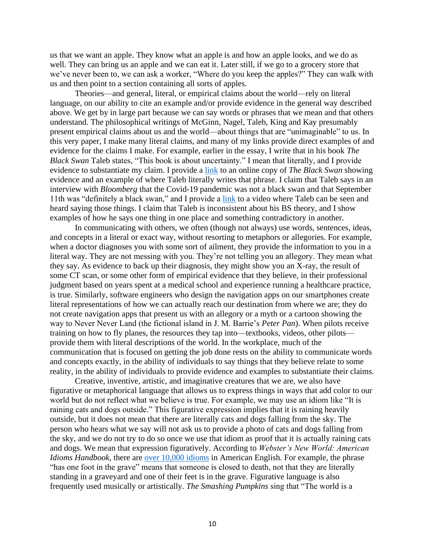us that we want an apple. They know what an apple is and how an apple looks, and we do as well. They can bring us an apple and we can eat it. Later still, if we go to a grocery store that we've never been to, we can ask a worker, "Where do you keep the apples?" They can walk with us and then point to a section containing all sorts of apples.

Theories—and general, literal, or empirical claims about the world—rely on literal language, on our ability to cite an example and/or provide evidence in the general way described above. We get by in large part because we can say words or phrases that we mean and that others understand. The philosophical writings of McGinn, Nagel, Taleb, King and Kay presumably present empirical claims about us and the world—about things that are "unimaginable" to us. In this very paper, I make many literal claims, and many of my links provide direct examples of and evidence for the claims I make. For example, earlier in the essay, I write that in his book *The Black Swan* Taleb states, "This book is about uncertainty." I mean that literally, and I provide evidence to substantiate my claim. I provide a [link](https://www.google.com/books/edition/The_Black_Swan/gWW4SkJjM08C?hl=en&gbpv=1&bsq=This%20book%20is%20about%20uncertainty;%20to%20this%20author,%20the%20rare%20event%20equals%20uncertainty) to an online copy of *The Black Swan* showing evidence and an example of where Taleb literally writes that phrase. I claim that Taleb says in an interview with *Bloomberg* that the Covid-19 pandemic was not a black swan and that September 11th was "definitely a black swan," and I provide a [link](https://www.bloomberg.com/news/videos/2020-03-31/nassim-taleb-says-white-swan-coronavirus-pandemic-was-preventable-video) to a video where Taleb can be seen and heard saying those things. I claim that Taleb is inconsistent about his BS theory, and I show examples of how he says one thing in one place and something contradictory in another.

In communicating with others, we often (though not always) use words, sentences, ideas, and concepts in a literal or exact way, without resorting to metaphors or allegories. For example, when a doctor diagnoses you with some sort of ailment, they provide the information to you in a literal way. They are not messing with you. They're not telling you an allegory. They mean what they say. As evidence to back up their diagnosis, they might show you an X-ray, the result of some CT scan, or some other form of empirical evidence that they believe, in their professional judgment based on years spent at a medical school and experience running a healthcare practice, is true. Similarly, software engineers who design the navigation apps on our smartphones create literal representations of how we can actually reach our destination from where we are; they do not create navigation apps that present us with an allegory or a myth or a cartoon showing the way to Never Never Land (the fictional island in J. M. Barrie's *Peter Pan*). When pilots receive training on how to fly planes, the resources they tap into—textbooks, videos, other pilots provide them with literal descriptions of the world. In the workplace, much of the communication that is focused on getting the job done rests on the ability to communicate words and concepts exactly, in the ability of individuals to say things that they believe relate to some reality, in the ability of individuals to provide evidence and examples to substantiate their claims.

Creative, inventive, artistic, and imaginative creatures that we are, we also have figurative or metaphorical language that allows us to express things in ways that add color to our world but do not reflect what we believe is true. For example, we may use an idiom like "It is raining cats and dogs outside." This figurative expression implies that it is raining heavily outside, but it does not mean that there are literally cats and dogs falling from the sky. The person who hears what we say will not ask us to provide a photo of cats and dogs falling from the sky, and we do not try to do so once we use that idiom as proof that it is actually raining cats and dogs. We mean that expression figuratively. According to *Webster's New World: American Idioms Handbook*, there are [over 10,000 idioms](https://www.google.com/books/edition/Webster_s_New_World_American_Idioms_Hand/wLPqDwAAQBAJ?hl=en&gbpv=1&bsq=over%2010,000%20idioms) in American English. For example, the phrase "has one foot in the grave" means that someone is closed to death, not that they are literally standing in a graveyard and one of their feet is in the grave. Figurative language is also frequently used musically or artistically. *The Smashing Pumpkins* sing that "The world is a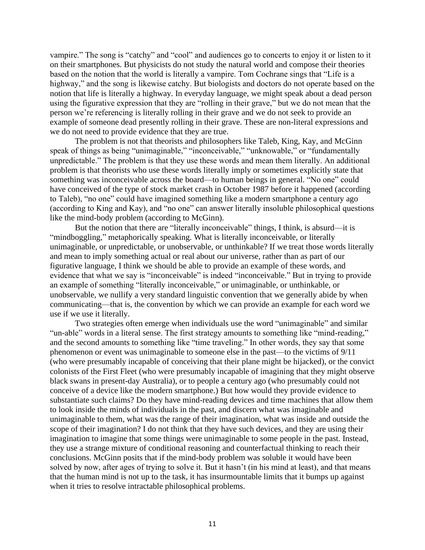vampire." The song is "catchy" and "cool" and audiences go to concerts to enjoy it or listen to it on their smartphones. But physicists do not study the natural world and compose their theories based on the notion that the world is literally a vampire. Tom Cochrane sings that "Life is a highway," and the song is likewise catchy. But biologists and doctors do not operate based on the notion that life is literally a highway. In everyday language, we might speak about a dead person using the figurative expression that they are "rolling in their grave," but we do not mean that the person we're referencing is literally rolling in their grave and we do not seek to provide an example of someone dead presently rolling in their grave. These are non-literal expressions and we do not need to provide evidence that they are true.

The problem is not that theorists and philosophers like Taleb, King, Kay, and McGinn speak of things as being "unimaginable," "inconceivable," "unknowable," or "fundamentally unpredictable." The problem is that they use these words and mean them literally. An additional problem is that theorists who use these words literally imply or sometimes explicitly state that something was inconceivable across the board—to human beings in general. "No one" could have conceived of the type of stock market crash in October 1987 before it happened (according to Taleb), "no one" could have imagined something like a modern smartphone a century ago (according to King and Kay), and "no one" can answer literally insoluble philosophical questions like the mind-body problem (according to McGinn).

But the notion that there are "literally inconceivable" things, I think, is absurd—it is "mindboggling," metaphorically speaking. What is literally inconceivable, or literally unimaginable, or unpredictable, or unobservable, or unthinkable? If we treat those words literally and mean to imply something actual or real about our universe, rather than as part of our figurative language, I think we should be able to provide an example of these words, and evidence that what we say is "inconceivable" is indeed "inconceivable." But in trying to provide an example of something "literally inconceivable," or unimaginable, or unthinkable, or unobservable, we nullify a very standard linguistic convention that we generally abide by when communicating—that is, the convention by which we can provide an example for each word we use if we use it literally.

Two strategies often emerge when individuals use the word "unimaginable" and similar "un-able" words in a literal sense. The first strategy amounts to something like "mind-reading," and the second amounts to something like "time traveling." In other words, they say that some phenomenon or event was unimaginable to someone else in the past—to the victims of 9/11 (who were presumably incapable of conceiving that their plane might be hijacked), or the convict colonists of the First Fleet (who were presumably incapable of imagining that they might observe black swans in present-day Australia), or to people a century ago (who presumably could not conceive of a device like the modern smartphone.) But how would they provide evidence to substantiate such claims? Do they have mind-reading devices and time machines that allow them to look inside the minds of individuals in the past, and discern what was imaginable and unimaginable to them, what was the range of their imagination, what was inside and outside the scope of their imagination? I do not think that they have such devices, and they are using their imagination to imagine that some things were unimaginable to some people in the past. Instead, they use a strange mixture of conditional reasoning and counterfactual thinking to reach their conclusions. McGinn posits that if the mind-body problem was soluble it would have been solved by now, after ages of trying to solve it. But it hasn't (in his mind at least), and that means that the human mind is not up to the task, it has insurmountable limits that it bumps up against when it tries to resolve intractable philosophical problems.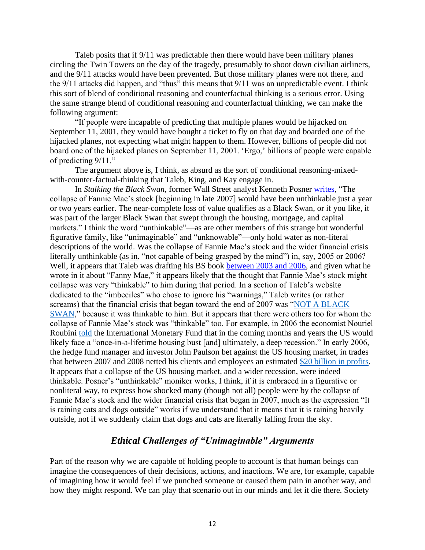Taleb posits that if 9/11 was predictable then there would have been military planes circling the Twin Towers on the day of the tragedy, presumably to shoot down civilian airliners, and the 9/11 attacks would have been prevented. But those military planes were not there, and the 9/11 attacks did happen, and "thus" this means that 9/11 was an unpredictable event. I think this sort of blend of conditional reasoning and counterfactual thinking is a serious error. Using the same strange blend of conditional reasoning and counterfactual thinking, we can make the following argument:

"If people were incapable of predicting that multiple planes would be hijacked on September 11, 2001, they would have bought a ticket to fly on that day and boarded one of the hijacked planes, not expecting what might happen to them. However, billions of people did not board one of the hijacked planes on September 11, 2001. 'Ergo,' billions of people were capable of predicting 9/11."

The argument above is, I think, as absurd as the sort of conditional reasoning-mixedwith-counter-factual-thinking that Taleb, King, and Kay engage in.

In *Stalking the Black Swan*, former Wall Street analyst Kenneth Posner [writes,](https://www.google.com/books/edition/Stalking_the_Black_Swan/Vkp9-P0frlgC?hl=en&gbpv=1&bsq=unthinkable) "The collapse of Fannie Mae's stock [beginning in late 2007] would have been unthinkable just a year or two years earlier. The near-complete loss of value qualifies as a Black Swan, or if you like, it was part of the larger Black Swan that swept through the housing, mortgage, and capital markets." I think the word "unthinkable"—as are other members of this strange but wonderful figurative family, like "unimaginable" and "unknowable"—only hold water as non-literal descriptions of the world. Was the collapse of Fannie Mae's stock and the wider financial crisis literally unthinkable [\(as in,](https://www.merriam-webster.com/dictionary/unthinkable) "not capable of being grasped by the mind") in, say, 2005 or 2006? Well, it appears that Taleb was drafting his BS book [between 2003 and 2006,](https://www.fooledbyrandomness.com/imbeciles.htm) and given what he wrote in it about "Fanny Mae," it appears likely that the thought that Fannie Mae's stock might collapse was very "thinkable" to him during that period. In a section of Taleb's website dedicated to the "imbeciles" who chose to ignore his "warnings," Taleb writes (or rather screams) that the financial crisis that began toward the end of 2007 was ["NOT A BLACK](https://www.fooledbyrandomness.com/imbeciles.htm)  [SWAN,](https://www.fooledbyrandomness.com/imbeciles.htm)" because it was thinkable to him. But it appears that there were others too for whom the collapse of Fannie Mae's stock was "thinkable" too. For example, in 2006 the economist Nouriel Roubini [told](https://www.nytimes.com/2008/08/17/magazine/17pessimist-t.html?referringSource=articleShare) the International Monetary Fund that in the coming months and years the US would likely face a "once-in-a-lifetime housing bust [and] ultimately, a deep recession." In early 2006, the hedge fund manager and investor John Paulson bet against the US housing market, in trades that between 2007 and 2008 netted his clients and employees an estimated [\\$20 billion in profits.](https://markets.businessinsider.com/news/stocks/john-paulson-quits-hedge-fund-family-focused-investment-firm-2020-7-1029361830) It appears that a collapse of the US housing market, and a wider recession, were indeed thinkable. Posner's "unthinkable" moniker works, I think, if it is embraced in a figurative or nonliteral way, to express how shocked many (though not all) people were by the collapse of Fannie Mae's stock and the wider financial crisis that began in 2007, much as the expression "It is raining cats and dogs outside" works if we understand that it means that it is raining heavily outside, not if we suddenly claim that dogs and cats are literally falling from the sky.

# *Ethical Challenges of "Unimaginable" Arguments*

Part of the reason why we are capable of holding people to account is that human beings can imagine the consequences of their decisions, actions, and inactions. We are, for example, capable of imagining how it would feel if we punched someone or caused them pain in another way, and how they might respond. We can play that scenario out in our minds and let it die there. Society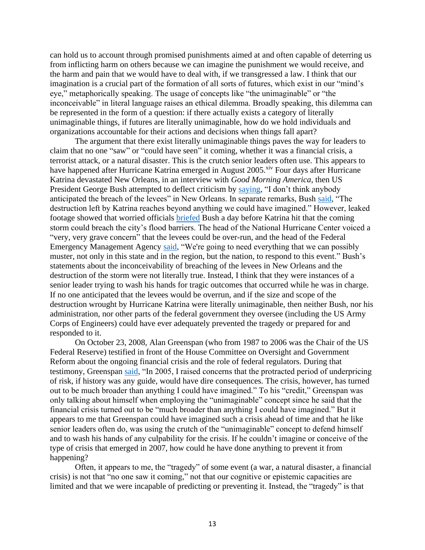can hold us to account through promised punishments aimed at and often capable of deterring us from inflicting harm on others because we can imagine the punishment we would receive, and the harm and pain that we would have to deal with, if we transgressed a law. I think that our imagination is a crucial part of the formation of all sorts of futures, which exist in our "mind's eye," metaphorically speaking. The usage of concepts like "the unimaginable" or "the inconceivable" in literal language raises an ethical dilemma. Broadly speaking, this dilemma can be represented in the form of a question: if there actually exists a category of literally unimaginable things, if futures are literally unimaginable, how do we hold individuals and organizations accountable for their actions and decisions when things fall apart?

The argument that there exist literally unimaginable things paves the way for leaders to claim that no one "saw" or "could have seen" it coming, whether it was a financial crisis, a terrorist attack, or a natural disaster. This is the crutch senior leaders often use. This appears to have happened after Hurricane Katrina emerged in August 2005.<sup>xiv</sup> Four days after Hurricane Katrina devastated New Orleans, in an interview with *Good Morning America*, then US President George Bush attempted to deflect criticism by [saying,](https://www.history.com/news/hurricane-katrina-levee-failures) "I don't think anybody anticipated the breach of the levees" in New Orleans. In separate remarks, Bush [said,](https://www.google.com/books/edition/Weekly_Compilation_of_Presidential_Docum/Ri8im9hFNesC?hl=en&gbpv=1&bsq=The%20destruction%20left%20by%20Katrina%20reaches%20beyond%20anything%20we%20could%20have%20imagined.) "The destruction left by Katrina reaches beyond anything we could have imagined." However, leaked footage showed that worried officials [briefed](http://news.bbc.co.uk/2/hi/americas/4765058.stm) Bush a day before Katrina hit that the coming storm could breach the city's flood barriers. The head of the National Hurricane Center voiced a "very, very grave concern" that the levees could be over-run, and the head of the Federal Emergency Management Agency [said,](https://www.theguardian.com/world/2006/mar/02/hurricanekatrina.usa) "We're going to need everything that we can possibly muster, not only in this state and in the region, but the nation, to respond to this event." Bush's statements about the inconceivability of breaching of the levees in New Orleans and the destruction of the storm were not literally true. Instead, I think that they were instances of a senior leader trying to wash his hands for tragic outcomes that occurred while he was in charge. If no one anticipated that the levees would be overrun, and if the size and scope of the destruction wrought by Hurricane Katrina were literally unimaginable, then neither Bush, nor his administration, nor other parts of the federal government they oversee (including the US Army Corps of Engineers) could have ever adequately prevented the tragedy or prepared for and responded to it.

On October 23, 2008, Alan Greenspan (who from 1987 to 2006 was the Chair of the US Federal Reserve) testified in front of the House Committee on Oversight and Government Reform about the ongoing financial crisis and the role of federal regulators. During that testimony, Greenspan [said,](https://oversight.house.gov/sites/democrats.oversight.house.gov/files/migrated/20081023100438.pdf) "In 2005, I raised concerns that the protracted period of underpricing of risk, if history was any guide, would have dire consequences. The crisis, however, has turned out to be much broader than anything I could have imagined." To his "credit," Greenspan was only talking about himself when employing the "unimaginable" concept since he said that the financial crisis turned out to be "much broader than anything I could have imagined." But it appears to me that Greenspan could have imagined such a crisis ahead of time and that he like senior leaders often do, was using the crutch of the "unimaginable" concept to defend himself and to wash his hands of any culpability for the crisis. If he couldn't imagine or conceive of the type of crisis that emerged in 2007, how could he have done anything to prevent it from happening?

Often, it appears to me, the "tragedy" of some event (a war, a natural disaster, a financial crisis) is not that "no one saw it coming," not that our cognitive or epistemic capacities are limited and that we were incapable of predicting or preventing it. Instead, the "tragedy" is that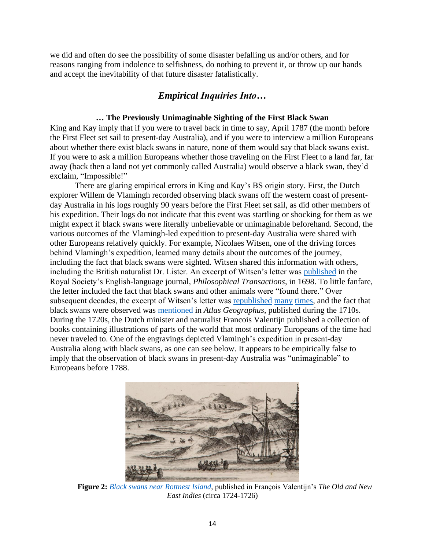we did and often do see the possibility of some disaster befalling us and/or others, and for reasons ranging from indolence to selfishness, do nothing to prevent it, or throw up our hands and accept the inevitability of that future disaster fatalistically.

# *Empirical Inquiries Into…*

## **… The Previously Unimaginable Sighting of the First Black Swan**

King and Kay imply that if you were to travel back in time to say, April 1787 (the month before the First Fleet set sail to present-day Australia), and if you were to interview a million Europeans about whether there exist black swans in nature, none of them would say that black swans exist. If you were to ask a million Europeans whether those traveling on the First Fleet to a land far, far away (back then a land not yet commonly called Australia) would observe a black swan, they'd exclaim, "Impossible!"

There are glaring empirical errors in King and Kay's BS origin story. First, the Dutch explorer Willem de Vlamingh recorded observing black swans off the western coast of presentday Australia in his logs roughly 90 years before the First Fleet set sail, as did other members of his expedition. Their logs do not indicate that this event was startling or shocking for them as we might expect if black swans were literally unbelievable or unimaginable beforehand. Second, the various outcomes of the Vlamingh-led expedition to present-day Australia were shared with other Europeans relatively quickly. For example, Nicolaes Witsen, one of the driving forces behind Vlamingh's expedition, learned many details about the outcomes of the journey, including the fact that black swans were sighted. Witsen shared this information with others, including the British naturalist Dr. Lister. An excerpt of Witsen's letter was [published](https://royalsocietypublishing.org/doi/pdf/10.1098/rstl.1698.0074) in the Royal Society's English-language journal, *Philosophical Transactions*, in 1698. To little fanfare, the letter included the fact that black swans and other animals were "found there." Over subsequent decades, the excerpt of Witsen's letter was [republished](https://www.google.com/books/edition/The_Philosophical_Transactions_and_Colle/qFMVAAAAQAAJ?hl=en&gbpv=1&dq=philosophical+transactions+black+swans&pg=PA622) [many](https://www.google.com/books/edition/The_Philosophical_Transactions_Abridged/vj_NIdweMrQC?hl=en&gbpv=1&dq=philosophical+transactions+black+swans&pg=PA622) [times,](https://www.google.com/books/edition/Memoirs_of_the_Royal_Society_Or_a_New_Ab/rPhWAAAAcAAJ?hl=en&gbpv=1&dq=philosophical+transactions+black+swans&pg=PA300) and the fact that black swans were observed was [mentioned](https://books.google.com/books?id=m7hZAAAAcAAJ&pg=PA11&dq=1717+black+swans+terra&hl=en&newbks=1&newbks_redir=0&source=gb_mobile_search&sa=X&ved=2ahUKEwjB8Kz7vfTyAhXsGFkFHT4EA-EQ6AF6BAgEEAM) in *Atlas Geographus*, published during the 1710s. During the 1720s, the Dutch minister and naturalist Francois Valentijn published a collection of books containing illustrations of parts of the world that most ordinary Europeans of the time had never traveled to. One of the engravings depicted Vlamingh's expedition in present-day Australia along with black swans, as one can see below. It appears to be empirically false to imply that the observation of black swans in present-day Australia was "unimaginable" to Europeans before 1788.



**Figure 2:** *[Black swans near Rottnest Island](https://www.agsa.sa.gov.au/collection-publications/collection/works/black-swans-near-rottnest-island-swartte-swaane-drift-op-het-eyland-rottenest/24863/)*, published in François Valentijn's *The Old and New East Indies* (circa 1724-1726)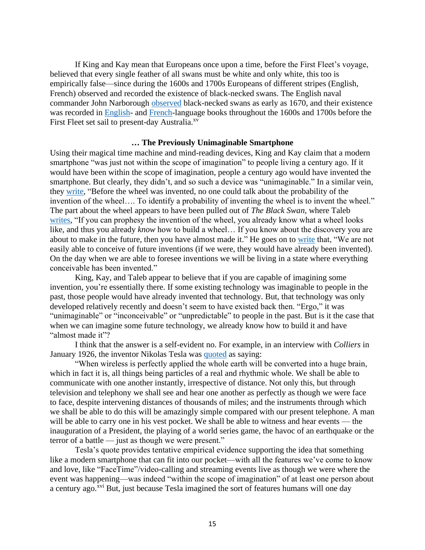If King and Kay mean that Europeans once upon a time, before the First Fleet's voyage, believed that every single feather of all swans must be white and only white, this too is empirically false—since during the 1600s and 1700s Europeans of different stripes (English, French) observed and recorded the existence of black-necked swans. The English naval commander John Narborough [observed](https://www.google.com/books/edition/An_Account_of_Several_Late_Voyages_Disco/6wEmrBQS_a0C?kptab=editions&gbpv=1&bsq=some%20swans) black-necked swans as early as 1670, and their existence was recorded in [English-](https://www.google.com/books/edition/A_General_Synopsis_of_Birds/1Xc3AQAAMAAJ?hl=en&gbpv=1&dq=john+latham+a+general+synopsis+of+birds+black+necked+swans&pg=PA438) and [French-](https://www.google.com/books/edition/A_Voyage_Round_the_World/cEBOAQAAMAAJ?hl=en&gbpv=1&dq=Among+the+web-footed+birds,+the+swan+is+the+first+in+order%3B+it+only+differs+from+the+European+one+by+its+neck%3B+which+is+of+a+velvet+black,+and+makes+an+admirable+contrast+with+the+whiteness+of+the+rest+of+its+body%3B+its+feet+are+flesh-colored.+This+kind+of+swan+is+likewise+to+be+found+in+Rio+de+la+Plata,+and+in+the+Strait+of+Magellan&pg=PA61&printsec=frontcover)language books throughout the 1600s and 1700s before the First Fleet set sail to present-day Australia.<sup>xv</sup>

### **… The Previously Unimaginable Smartphone**

Using their magical time machine and mind-reading devices, King and Kay claim that a modern smartphone "was just not within the scope of imagination" to people living a century ago. If it would have been within the scope of imagination, people a century ago would have invented the smartphone. But clearly, they didn't, and so such a device was "unimaginable." In a similar vein, they [write,](https://www.google.com/books/edition/Radical_Uncertainty_Decision_Making_Beyo/HSefDwAAQBAJ?hl=en&gbpv=1&bsq=before%20the%20wheel%20was%20invented) "Before the wheel was invented, no one could talk about the probability of the invention of the wheel…. To identify a probability of inventing the wheel is to invent the wheel." The part about the wheel appears to have been pulled out of *The Black Swan*, where Taleb [writes,](https://www.google.com/books/edition/The_Black_Swan_Second_Edition/h2WMDQAAQBAJ?hl=en&gbpv=1&bsq=we%20are%20not%20easily%20able%20to%20conceive%20of%20future%20inventions%20(if%20we%20were,%20they%20would%20have%20already%20been%20invented)) "If you can prophesy the invention of the wheel, you already know what a wheel looks like, and thus you already *know* how to build a wheel… If you know about the discovery you are about to make in the future, then you have almost made it." He goes on to [write](https://www.google.com/books/edition/The_Black_Swan_Second_Edition/GSBcQVd3MqYC?hl=en&gbpv=1&dq=We+are+not+easily+able+to+conceive+of+future+inventions+(if+we+were,+they+would+have+already+been+invented).+On+the+day+when+we+are+able+to+foresee+inventions+we+will+be+living+in+a+state+where+everything+conceivable+has+been+invented&pg=PA172&printsec=frontcover) that, "We are not easily able to conceive of future inventions (if we were, they would have already been invented). On the day when we are able to foresee inventions we will be living in a state where everything conceivable has been invented."

King, Kay, and Taleb appear to believe that if you are capable of imagining some invention, you're essentially there. If some existing technology was imaginable to people in the past, those people would have already invented that technology. But, that technology was only developed relatively recently and doesn't seem to have existed back then. "Ergo," it was "unimaginable" or "inconceivable" or "unpredictable" to people in the past. But is it the case that when we can imagine some future technology, we already know how to build it and have "almost made it"?

I think that the answer is a self-evident no. For example, in an interview with *Colliers* in January 1926, the inventor Nikolas Tesla was [quoted](http://www.tfcbooks.com/tesla/1926-01-30.htm) as saying:

"When wireless is perfectly applied the whole earth will be converted into a huge brain, which in fact it is, all things being particles of a real and rhythmic whole. We shall be able to communicate with one another instantly, irrespective of distance. Not only this, but through television and telephony we shall see and hear one another as perfectly as though we were face to face, despite intervening distances of thousands of miles; and the instruments through which we shall be able to do this will be amazingly simple compared with our present telephone. A man will be able to carry one in his vest pocket. We shall be able to witness and hear events — the inauguration of a President, the playing of a world series game, the havoc of an earthquake or the terror of a battle — just as though we were present."

Tesla's quote provides tentative empirical evidence supporting the idea that something like a modern smartphone that can fit into our pocket—with all the features we've come to know and love, like "FaceTime"/video-calling and streaming events live as though we were where the event was happening—was indeed "within the scope of imagination" of at least one person about a century ago.<sup>xvi</sup> But, just because Tesla imagined the sort of features humans will one day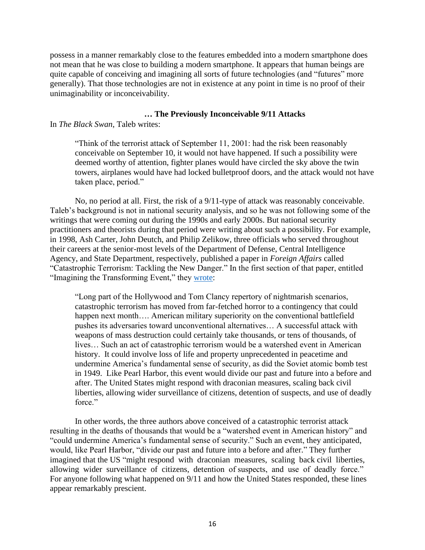possess in a manner remarkably close to the features embedded into a modern smartphone does not mean that he was close to building a modern smartphone. It appears that human beings are quite capable of conceiving and imagining all sorts of future technologies (and "futures" more generally). That those technologies are not in existence at any point in time is no proof of their unimaginability or inconceivability.

## **… The Previously Inconceivable 9/11 Attacks**

In *The Black Swan*, Taleb writes:

"Think of the terrorist attack of September 11, 2001: had the risk been reasonably conceivable on September 10, it would not have happened. If such a possibility were deemed worthy of attention, fighter planes would have circled the sky above the twin towers, airplanes would have had locked bulletproof doors, and the attack would not have taken place, period."

No, no period at all. First, the risk of a 9/11-type of attack was reasonably conceivable. Taleb's background is not in national security analysis, and so he was not following some of the writings that were coming out during the 1990s and early 2000s. But national security practitioners and theorists during that period were writing about such a possibility. For example, in 1998, Ash Carter, John Deutch, and Philip Zelikow, three officials who served throughout their careers at the senior-most levels of the Department of Defense, Central Intelligence Agency, and State Department, respectively, published a paper in *Foreign Affairs* called "Catastrophic Terrorism: Tackling the New Danger." In the first section of that paper, entitled "Imagining the Transforming Event," they [wrote:](https://www.foreignaffairs.com/articles/united-states/1998-11-01/catastrophic-terrorism)

"Long part of the Hollywood and Tom Clancy repertory of nightmarish scenarios, catastrophic terrorism has moved from far-fetched horror to a contingency that could happen next month.... American military superiority on the conventional battlefield pushes its adversaries toward unconventional alternatives… A successful attack with weapons of mass destruction could certainly take thousands, or tens of thousands, of lives… Such an act of catastrophic terrorism would be a watershed event in American history. It could involve loss of life and property unprecedented in peacetime and undermine America's fundamental sense of security, as did the Soviet atomic bomb test in 1949. Like Pearl Harbor, this event would divide our past and future into a before and after. The United States might respond with draconian measures, scaling back civil liberties, allowing wider surveillance of citizens, detention of suspects, and use of deadly force."

In other words, the three authors above conceived of a catastrophic terrorist attack resulting in the deaths of thousands that would be a "watershed event in American history" and "could undermine America's fundamental sense of security." Such an event, they anticipated, would, like Pearl Harbor, "divide our past and future into a before and after." They further imagined that the US "might respond with draconian measures, scaling back civil liberties, allowing wider surveillance of citizens, detention of suspects, and use of deadly force." For anyone following what happened on 9/11 and how the United States responded, these lines appear remarkably prescient.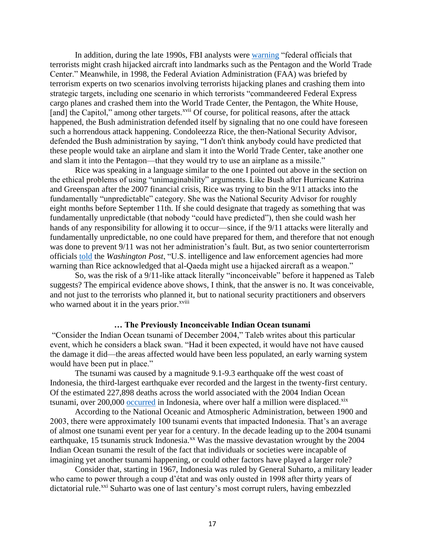In addition, during the late 1990s, FBI analysts were [warning](https://www.washingtonpost.com/archive/politics/2002/05/19/clues-pointed-to-changing-terrorist-tactics/b6bba8aa-073d-40d6-9822-4df1b4ace8f2/) "federal officials that terrorists might crash hijacked aircraft into landmarks such as the Pentagon and the World Trade Center." Meanwhile, in 1998, the Federal Aviation Administration (FAA) was briefed by terrorism experts on two scenarios involving terrorists hijacking planes and crashing them into strategic targets, including one scenario in which terrorists "commandeered Federal Express cargo planes and crashed them into the World Trade Center, the Pentagon, the White House, [and] the Capitol," among other targets.<sup>xvii</sup> Of course, for political reasons, after the attack happened, the Bush administration defended itself by signaling that no one could have foreseen such a horrendous attack happening. Condoleezza Rice, the then-National Security Advisor, defended the Bush administration by saying, "I don't think anybody could have predicted that these people would take an airplane and slam it into the World Trade Center, take another one and slam it into the Pentagon—that they would try to use an airplane as a missile."

Rice was speaking in a language similar to the one I pointed out above in the section on the ethical problems of using "unimaginability" arguments. Like Bush after Hurricane Katrina and Greenspan after the 2007 financial crisis, Rice was trying to bin the 9/11 attacks into the fundamentally "unpredictable" category. She was the National Security Advisor for roughly eight months before September 11th. If she could designate that tragedy as something that was fundamentally unpredictable (that nobody "could have predicted"), then she could wash her hands of any responsibility for allowing it to occur—since, if the 9/11 attacks were literally and fundamentally unpredictable, no one could have prepared for them, and therefore that not enough was done to prevent 9/11 was not her administration's fault. But, as two senior counterterrorism officials [told](https://www.washingtonpost.com/archive/politics/2002/05/19/clues-pointed-to-changing-terrorist-tactics/b6bba8aa-073d-40d6-9822-4df1b4ace8f2/) the *Washington Post*, "U.S. intelligence and law enforcement agencies had more warning than Rice acknowledged that al-Qaeda might use a hijacked aircraft as a weapon."

So, was the risk of a 9/11-like attack literally "inconceivable" before it happened as Taleb suggests? The empirical evidence above shows, I think, that the answer is no. It was conceivable, and not just to the terrorists who planned it, but to national security practitioners and observers who warned about it in the years prior.<sup>xviii</sup>

### **… The Previously Inconceivable Indian Ocean tsunami**

"Consider the Indian Ocean tsunami of December 2004," Taleb writes about this particular event, which he considers a black swan. "Had it been expected, it would have not have caused the damage it did—the areas affected would have been less populated, an early warning system would have been put in place."

The tsunami was caused by a magnitude 9.1-9.3 earthquake off the west coast of Indonesia, the third-largest earthquake ever recorded and the largest in the twenty-first century. Of the estimated 227,898 deaths across the world associated with the 2004 Indian Ocean tsunami, over 200,000 [occurred](https://www.britannica.com/event/Indian-Ocean-tsunami-of-2004) in Indonesia, where over half a million were displaced.<sup>xix</sup>

According to the National Oceanic and Atmospheric Administration, between 1900 and 2003, there were approximately 100 tsunami events that impacted Indonesia. That's an average of almost one tsunami event per year for a century. In the decade leading up to the 2004 tsunami earthquake, 15 tsunamis struck Indonesia.<sup>xx</sup> Was the massive devastation wrought by the 2004 Indian Ocean tsunami the result of the fact that individuals or societies were incapable of imagining yet another tsunami happening, or could other factors have played a larger role?

Consider that, starting in 1967, Indonesia was ruled by General Suharto, a military leader who came to power through a coup d'état and was only ousted in 1998 after thirty years of dictatorial rule.<sup>xxi</sup> Suharto was one of last century's most corrupt rulers, having embezzled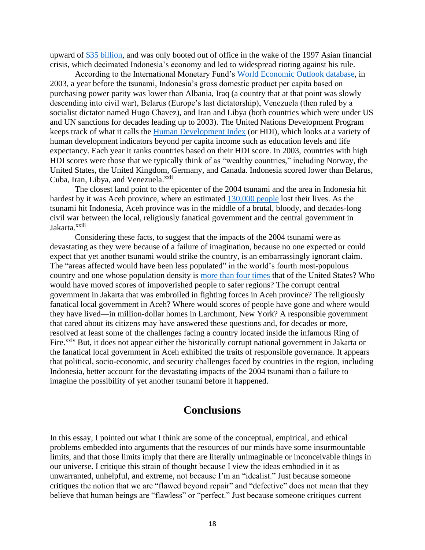upward of [\\$35 billion,](https://issuu.com/transparencyinternational/docs/2004_gcr_politicalcorruption_en?mode=window&backgroundColor=%23222222) and was only booted out of office in the wake of the 1997 Asian financial crisis, which decimated Indonesia's economy and led to widespread rioting against his rule.

According to the International Monetary Fund's [World Economic Outlook database,](https://www.imf.org/en/Publications/SPROLLs/world-economic-outlook-databases#sort=%40imfdate%20descending) in 2003, a year before the tsunami, Indonesia's gross domestic product per capita based on purchasing power parity was lower than Albania, Iraq (a country that at that point was slowly descending into civil war), Belarus (Europe's last dictatorship), Venezuela (then ruled by a socialist dictator named Hugo Chavez), and Iran and Libya (both countries which were under US and UN sanctions for decades leading up to 2003). The United Nations Development Program keeps track of what it calls the [Human Development Index](https://countryeconomy.com/hdi?year=2003) (or HDI), which looks at a variety of human development indicators beyond per capita income such as education levels and life expectancy. Each year it ranks countries based on their HDI score. In 2003, countries with high HDI scores were those that we typically think of as "wealthy countries," including Norway, the United States, the United Kingdom, Germany, and Canada. Indonesia scored lower than Belarus, Cuba, Iran, Libya, and Venezuela.<sup>xxii</sup>

The closest land point to the epicenter of the 2004 tsunami and the area in Indonesia hit hardest by it was Aceh province, where an estimated [130,000 people](https://www.dw.com/en/ten-years-after-the-tsunami-how-has-aceh-changed/a-18149958) lost their lives. As the tsunami hit Indonesia, Aceh province was in the middle of a brutal, bloody, and decades-long civil war between the local, religiously fanatical government and the central government in Jakarta.xxiii

Considering these facts, to suggest that the impacts of the 2004 tsunami were as devastating as they were because of a failure of imagination, because no one expected or could expect that yet another tsunami would strike the country, is an embarrassingly ignorant claim. The "areas affected would have been less populated" in the world's fourth most-populous country and one whose population density is [more than four times](https://en.wikipedia.org/wiki/List_of_countries_and_dependencies_by_population_density) that of the United States? Who would have moved scores of impoverished people to safer regions? The corrupt central government in Jakarta that was embroiled in fighting forces in Aceh province? The religiously fanatical local government in Aceh? Where would scores of people have gone and where would they have lived—in million-dollar homes in Larchmont, New York? A responsible government that cared about its citizens may have answered these questions and, for decades or more, resolved at least some of the challenges facing a country located inside the infamous Ring of Fire.<sup>xxiv</sup> But, it does not appear either the historically corrupt national government in Jakarta or the fanatical local government in Aceh exhibited the traits of responsible governance. It appears that political, socio-economic, and security challenges faced by countries in the region, including Indonesia, better account for the devastating impacts of the 2004 tsunami than a failure to imagine the possibility of yet another tsunami before it happened.

# **Conclusions**

In this essay, I pointed out what I think are some of the conceptual, empirical, and ethical problems embedded into arguments that the resources of our minds have some insurmountable limits, and that those limits imply that there are literally unimaginable or inconceivable things in our universe. I critique this strain of thought because I view the ideas embodied in it as unwarranted, unhelpful, and extreme, not because I'm an "idealist." Just because someone critiques the notion that we are "flawed beyond repair" and "defective" does not mean that they believe that human beings are "flawless" or "perfect." Just because someone critiques current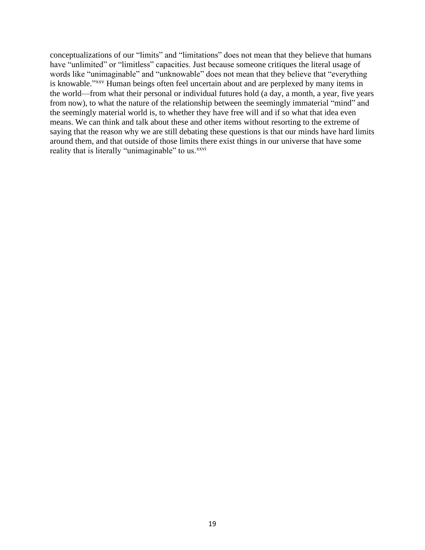conceptualizations of our "limits" and "limitations" does not mean that they believe that humans have "unlimited" or "limitless" capacities. Just because someone critiques the literal usage of words like "unimaginable" and "unknowable" does not mean that they believe that "everything is knowable."<sup>XXV</sup> Human beings often feel uncertain about and are perplexed by many items in the world—from what their personal or individual futures hold (a day, a month, a year, five years from now), to what the nature of the relationship between the seemingly immaterial "mind" and the seemingly material world is, to whether they have free will and if so what that idea even means. We can think and talk about these and other items without resorting to the extreme of saying that the reason why we are still debating these questions is that our minds have hard limits around them, and that outside of those limits there exist things in our universe that have some reality that is literally "unimaginable" to us.<sup>xxvi</sup>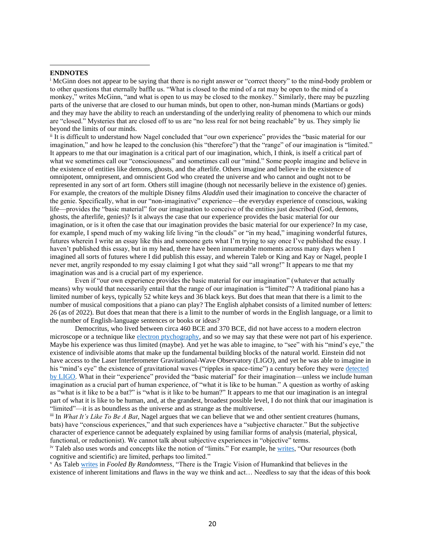#### **ENDNOTES**

<sup>i</sup> McGinn does not appear to be saying that there is no right answer or "correct theory" to the mind-body problem or to other questions that eternally baffle us. "What is closed to the mind of a rat may be open to the mind of a monkey," writes McGinn, "and what is open to us may be closed to the monkey." Similarly, there may be puzzling parts of the universe that are closed to our human minds, but open to other, non-human minds (Martians or gods) and they may have the ability to reach an understanding of the underlying reality of phenomena to which our minds are "closed." Mysteries that are closed off to us are "no less real for not being reachable" by us. They simply lie beyond the limits of our minds.

ii It is difficult to understand how Nagel concluded that "our own experience" provides the "basic material for our imagination," and how he leaped to the conclusion (his "therefore") that the "range" of our imagination is "limited." It appears to me that our imagination is a critical part of our imagination, which, I think, is itself a critical part of what we sometimes call our "consciousness" and sometimes call our "mind." Some people imagine and believe in the existence of entities like demons, ghosts, and the afterlife. Others imagine and believe in the existence of omnipotent, omnipresent, and omniscient God who created the universe and who cannot and ought not to be represented in any sort of art form. Others still imagine (though not necessarily believe in the existence of) genies. For example, the creators of the multiple Disney films *Aladdin* used their imagination to conceive the character of the genie. Specifically, what in our "non-imaginative" experience—the everyday experience of conscious, waking life—provides the "basic material" for our imagination to conceive of the entities just described (God, demons, ghosts, the afterlife, genies)? Is it always the case that our experience provides the basic material for our imagination, or is it often the case that our imagination provides the basic material for our experience? In my case, for example, I spend much of my waking life living "in the clouds" or "in my head," imagining wonderful futures, futures wherein I write an essay like this and someone gets what I'm trying to say once I've published the essay. I haven't published this essay, but in my head, there have been innumerable moments across many days when I imagined all sorts of futures where I did publish this essay, and wherein Taleb or King and Kay or Nagel, people I never met, angrily responded to my essay claiming I got what they said "all wrong!" It appears to me that my imagination was and is a crucial part of my experience.

Even if "our own experience provides the basic material for our imagination" (whatever that actually means) why would that necessarily entail that the range of our imagination is "limited"? A traditional piano has a limited number of keys, typically 52 white keys and 36 black keys. But does that mean that there is a limit to the number of musical compositions that a piano can play? The English alphabet consists of a limited number of letters: 26 (as of 2022). But does that mean that there is a limit to the number of words in the English language, or a limit to the number of English-language sentences or books or ideas?

Democritus, who lived between circa 460 BCE and 370 BCE, did not have access to a modern electron microscope or a technique like [electron ptychography,](https://www.scientificamerican.com/article/see-the-highest-resolution-atomic-image-ever-captured/) and so we may say that these were not part of his experience. Maybe his experience was thus limited (maybe). And yet he was able to imagine, to "see" with his "mind's eye," the existence of indivisible atoms that make up the fundamental building blocks of the natural world. Einstein did not have access to the Laser Interferometer Gravitational-Wave Observatory (LIGO), and yet he was able to imagine in his "mind's eye" the existence of gravitational waves ("ripples in space-time") a century before they were detected [by LIGO.](https://www.reuters.com/article/space-gravitywaves/einsteins-gravitational-waves-detected-in-landmark-discovery-idUSKCN0VK1RT) What in their "experience" provided the "basic material" for their imagination—unless we include human imagination as a crucial part of human experience, of "what it is like to be human." A question as worthy of asking as "what is it like to be a bat?" is "what is it like to be human?" It appears to me that our imagination is an integral part of what it is like to be human, and, at the grandest, broadest possible level, I do not think that our imagination is "limited"—it is as boundless as the universe and as strange as the multiverse.

iii In *What It's Like To Be A Bat*, Nagel argues that we can believe that we and other sentient creatures (humans, bats) have "conscious experiences," and that such experiences have a "subjective character." But the subjective character of experience cannot be adequately explained by using familiar forms of analysis (material, physical, functional, or reductionist). We cannot talk about subjective experiences in "objective" terms.

iv Taleb also uses words and concepts like the notion of "limits." For example, h[e writes,](https://www.google.com/books/edition/The_Black_Swan_Second_Edition/h2WMDQAAQBAJ?hl=en&gbpv=1&bsq=our%20resources%20are%20limited) "Our resources (both cognitive and scientific) are limited, perhaps too limited."

<sup>v</sup> As Taleb [writes](https://www.google.com/books/edition/Fooled_by_Randomness/DCqFYOrGyegC?hl=en&gbpv=1&bsq=inherent%20limitations) in *Fooled By Randomness*, "There is the Tragic Vision of Humankind that believes in the existence of inherent limitations and flaws in the way we think and act… Needless to say that the ideas of this book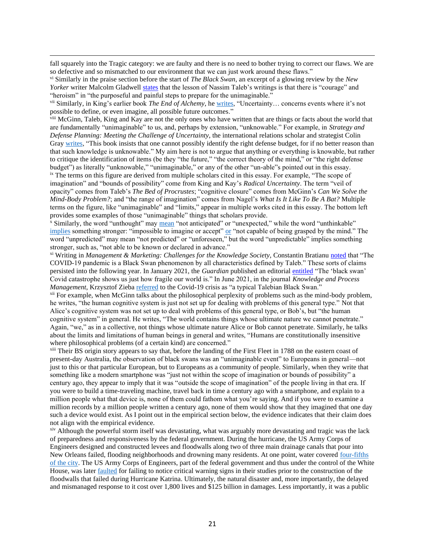fall squarely into the Tragic category: we are faulty and there is no need to bother trying to correct our flaws. We are so defective and so mismatched to our environment that we can just work around these flaws."

vi Similarly in the praise section before the start of *The Black Swan*, an excerpt of a glowing review by the *New Yorker* writer Malcolm Gladwell [states](https://www.google.com/books/edition/The_Black_Swan_Second_Edition/GSBcQVd3MqYC?hl=en&gbpv=1&dq=black+swan+gladwell+unimaginable&pg=PR1&printsec=frontcover) that the lesson of Nassim Taleb's writings is that there is "courage" and "heroism" in "the purposeful and painful steps to prepare for the unimaginable."

vii Similarly, in King's earlier book *The End of Alchemy*, he [writes,](https://www.google.com/books/edition/The_End_of_Alchemy_Money_Banking_and_the/b_V1CQAAQBAJ?hl=en&gbpv=1&bsq=or%20even%20imagine%20all%20possible%20future%20outcomes) "Uncertainty… concerns events where it's not possible to define, or even imagine, all possible future outcomes."

viii McGinn, Taleb, King and Kay are not the only ones who have written that are things or facts about the world that are fundamentally "unimaginable" to us, and, perhaps by extension, "unknowable." For example, in *Strategy and Defense Planning: Meeting the Challenge of Uncertainty*, the international relations scholar and strategist Colin Gray [writes,](https://www.google.com/books/edition/Strategy_and_Defence_Planning/1LkBBAAAQBAJ?hl=en&gbpv=1&bsq=this%20book%20insists%20that%20one%20cannot) "This book insists that one cannot possibly identify the right defense budget, for if no better reason than that such knowledge is unknowable." My aim here is not to argue that anything or everything is knowable, but rather to critique the identification of items (be they "the future," "the correct theory of the mind," or "the right defense budget") as literally "unknowable," "unimaginable," or any of the other "un-able"s pointed out in this essay. ix The terms on this figure are derived from multiple scholars cited in this essay. For example, "The scope of imagination" and "bounds of possibility" come from King and Kay's *Radical Uncertainty*. The term "veil of opacity" comes from Taleb's *The Bed of Procrustes*; "cognitive closure" comes from McGinn's *Can We Solve the Mind-Body Problem?*; and "the range of imagination" comes from Nagel's *What Is It Like To Be A Bat?* Multiple terms on the figure, like "unimaginable" and "limits," appear in multiple works cited in this essay. The bottom left provides some examples of those "unimaginable" things that scholars provide.

<sup>x</sup> Similarly, the word "unthought" may [mean](https://www.merriam-webster.com/dictionary/unthought) "not anticipated" or "unexpected," while the word "unthinkable" [implies](https://www.oxfordlearnersdictionaries.com/us/definition/english/unthinkable?q=unthinkable) something stronger: "impossible to imagine or accept[" or](https://www.merriam-webster.com/dictionary/unthinkable) "not capable of being grasped by the mind." The word "unpredicted" may mean "not predicted" or "unforeseen," but the word "unpredictable" implies something stronger, such as, "not able to be known or declared in advance."

xi Writing in *Management & Marketing: Challenges for the Knowledge Society*, Constantin Bratianu [noted](file://///usr.osd.mil/Home/JS/j7/sveto/Downloads/The%20COVID-19%20pandemic%20is%20a%20Black%20Swan%20phenomenon%20by%20all%20characteristics%20defined%20by%20Taleb) that "The COVID-19 pandemic is a Black Swan phenomenon by all characteristics defined by Taleb." These sorts of claims persisted into the following year. In January 2021, the *Guardian* published an editorial [entitled](https://www.theguardian.com/business/2021/jan/03/the-black-swan-covid-catastrophe-shows-us-just-how-fragile-our-world-is) "The 'black swan' Covid catastrophe shows us just how fragile our world is." In June 2021, in the journal *Knowledge and Process Management*, Krzysztof Zieba [referred](https://www.ncbi.nlm.nih.gov/pmc/articles/PMC8441870/) to the Covid-19 crisis as "a typical Talebian Black Swan."

<sup>xii</sup> For example, when McGinn talks about the philosophical perplexity of problems such as the mind-body problem, he writes, "the human cognitive system is just not set up for dealing with problems of this general type." Not that Alice's cognitive system was not set up to deal with problems of this general type, or Bob's, but "the human cognitive system" in general. He writes, "The world contains things whose ultimate nature we cannot penetrate." Again, "we," as in a collective, not things whose ultimate nature Alice or Bob cannot penetrate. Similarly, he talks about the limits and limitations of human beings in general and writes, "Humans are constitutionally insensitive where philosophical problems (of a certain kind) are concerned."

<sup>xiii</sup> Their BS origin story appears to say that, before the landing of the First Fleet in 1788 on the eastern coast of present-day Australia, the observation of black swans was an "unimaginable event" to Europeans in general—not just to this or that particular European, but to Europeans as a community of people. Similarly, when they write that something like a modern smartphone was "just not within the scope of imagination or bounds of possibility" a century ago, they appear to imply that it was "outside the scope of imagination" of the people living in that era. If you were to build a time-traveling machine, travel back in time a century ago with a smartphone, and explain to a million people what that device is, none of them could fathom what you're saying. And if you were to examine a million records by a million people written a century ago, none of them would show that they imagined that one day such a device would exist. As I point out in the empirical section below, the evidence indicates that their claim does not align with the empirical evidence.

xiv Although the powerful storm itself was devastating, what was arguably more devastating and tragic was the lack of preparedness and responsiveness by the federal government. During the hurricane, the US Army Corps of Engineers designed and constructed levees and floodwalls along two of three main drainage canals that pour into New Orleans failed, flooding neighborhoods and drowning many residents. At one point, water covered [four-fifths](https://www.nytimes.com/2008/02/01/us/01corps.html?referringSource=articleShare)  [of the city.](https://www.nytimes.com/2008/02/01/us/01corps.html?referringSource=articleShare) The US Army Corps of Engineers, part of the federal government and thus under the control of the White House, was later [faulted](https://www.nytimes.com/2015/05/24/us/decade-after-katrina-pointing-finger-more-firmly-at-army-corps.html?referringSource=articleShare) for failing to notice critical warning signs in their studies prior to the construction of the floodwalls that failed during Hurricane Katrina. Ultimately, the natural disaster and, more importantly, the delayed and mismanaged response to it cost over 1,800 lives and \$125 billion in damages. Less importantly, it was a public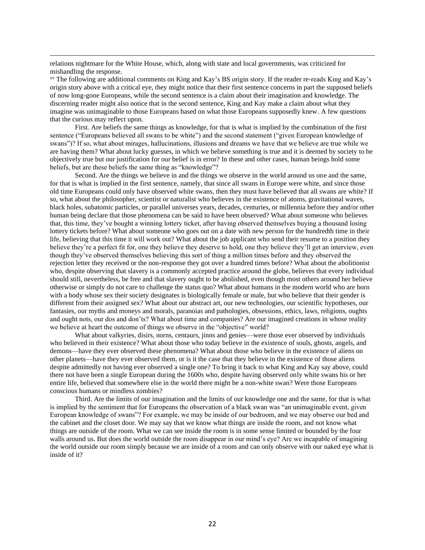relations nightmare for the White House, which, along with state and local governments, was criticized for mishandling the response.

xv The following are additional comments on King and Kay's BS origin story. If the reader re-reads King and Kay's origin story above with a critical eye, they might notice that their first sentence concerns in part the supposed beliefs of now long-gone Europeans, while the second sentence is a claim about their imagination and knowledge. The discerning reader might also notice that in the second sentence, King and Kay make a claim about what they imagine was unimaginable to those Europeans based on what those Europeans supposedly knew. A few questions that the curious may reflect upon.

First. Are beliefs the same things as knowledge, for that is what is implied by the combination of the first sentence ("Europeans believed all swans to be white") and the second statement ("given European knowledge of swans")? If so, what about mirages, hallucinations, illusions and dreams we have that we believe are true while we are having them? What about lucky guesses, in which we believe something is true and it is deemed by society to be objectively true but our justification for our belief is in error? In these and other cases, human beings hold some beliefs, but are these beliefs the same thing as "knowledge"?

Second. Are the things we believe in and the things we observe in the world around us one and the same, for that is what is implied in the first sentence, namely, that since all swans in Europe were white, and since those old time Europeans could only have observed white swans, then they must have believed that all swans are white? If so, what about the philosopher, scientist or naturalist who believes in the existence of atoms, gravitational waves, black holes, subatomic particles, or parallel universes years, decades, centuries, or millennia before they and/or other human being declare that those phenomena can be said to have been observed? What about someone who believes that, this time, they've bought a winning lottery ticket, after having observed themselves buying a thousand losing lottery tickets before? What about someone who goes out on a date with new person for the hundredth time in their life, believing that this time it will work out? What about the job applicant who send their resume to a position they believe they're a perfect fit for, one they believe they deserve to hold, one they believe they'll get an interview, even though they've observed themselves believing this sort of thing a million times before and they observed the rejection letter they received or the non-response they got over a hundred times before? What about the abolitionist who, despite observing that slavery is a commonly accepted practice around the globe, believes that every individual should still, nevertheless, be free and that slavery ought to be abolished, even though most others around her believe otherwise or simply do not care to challenge the status quo? What about humans in the modern world who are born with a body whose sex their society designates is biologically female or male, but who believe that their gender is different from their assigned sex? What about our abstract art, our new technologies, our scientific hypotheses, our fantasies, our myths and moneys and morals, paranoias and pathologies, obsessions, ethics, laws, religions, oughts and ought nots, our dos and don'ts? What about time and companies? Are our imagined creations in whose reality we believe at heart the outcome of things we observe in the "objective" world?

What about valkyries, disirs, norns, centaurs, jinns and genies—were those ever observed by individuals who believed in their existence? What about those who today believe in the existence of souls, ghosts, angels, and demons—have they ever observed these phenomena? What about those who believe in the existence of aliens on other planets—have they ever observed them, or is it the case that they believe in the existence of those aliens despite admittedly not having ever observed a single one? To bring it back to what King and Kay say above, could there not have been a single European during the 1600s who, despite having observed only white swans his or her entire life, believed that somewhere else in the world there might be a non-white swan? Were those Europeans conscious humans or mindless zombies?

Third. Are the limits of our imagination and the limits of our knowledge one and the same, for that is what is implied by the sentiment that for Europeans the observation of a black swan was "an unimaginable event, given European knowledge of swans"? For example, we may be inside of our bedroom, and we may observe our bed and the cabinet and the closet door. We may say that we know what things are inside the room, and not know what things are outside of the room. What we can see inside the room is in some sense limited or bounded by the four walls around us. But does the world outside the room disappear in our mind's eye? Are we incapable of imagining the world outside our room simply because we are inside of a room and can only observe with our naked eye what is inside of it?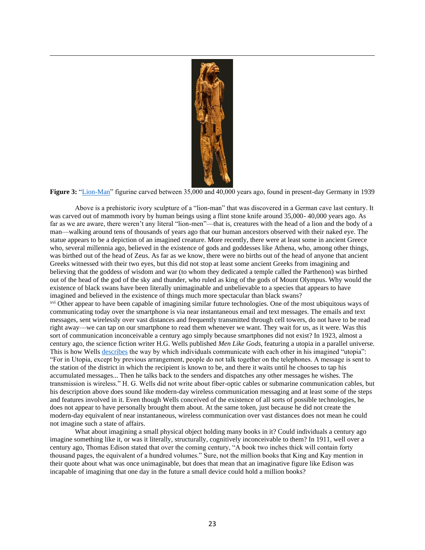

**Figure 3:** ["Lion-Man"](https://en.wikipedia.org/wiki/Lion-man) figurine carved between 35,000 and 40,000 years ago, found in present-day Germany in 1939

Above is a prehistoric ivory sculpture of a "lion-man" that was discovered in a German cave last century. It was carved out of mammoth ivory by human beings using a flint stone knife around 35,000- 40,000 years ago. As far as we are aware, there weren't any literal "lion-men"—that is, creatures with the head of a lion and the body of a man—walking around tens of thousands of years ago that our human ancestors observed with their naked eye. The statue appears to be a depiction of an imagined creature. More recently, there were at least some in ancient Greece who, several millennia ago, believed in the existence of gods and goddesses like Athena, who, among other things, was birthed out of the head of Zeus. As far as we know, there were no births out of the head of anyone that ancient Greeks witnessed with their two eyes, but this did not stop at least some ancient Greeks from imagining and believing that the goddess of wisdom and war (to whom they dedicated a temple called the Parthenon) was birthed out of the head of the god of the sky and thunder, who ruled as king of the gods of Mount Olympus. Why would the existence of black swans have been literally unimaginable and unbelievable to a species that appears to have imagined and believed in the existence of things much more spectacular than black swans?

xvi Other appear to have been capable of imagining similar future technologies. One of the most ubiquitous ways of communicating today over the smartphone is via near instantaneous email and text messages. The emails and text messages, sent wirelessly over vast distances and frequently transmitted through cell towers, do not have to be read right away—we can tap on our smartphone to read them whenever we want. They wait for us, as it were. Was this sort of communication inconceivable a century ago simply because smartphones did not exist? In 1923, almost a century ago, the science fiction writer H.G. Wells published *Men Like Gods*, featuring a utopia in a parallel universe. This is how Wells [describes](https://www.google.com/books/edition/Men_Like_Gods/Ay4eAAAAIAAJ?hl=en&gbpv=1&dq=For+in+Utopia,+except+by+previous+arrangement,+people+do+not+talk+together+on+the+telephones.+A+message+is+sent+to+the+station+of+the+district+in+which+the+recipient+is+known+to+be,+and+there+it+waits+until+he+chooses+to+tap+his+accumulated+messages&pg=PA271&printsec=frontcover) the way by which individuals communicate with each other in his imagined "utopia": "For in Utopia, except by previous arrangement, people do not talk together on the telephones. A message is sent to the station of the district in which the recipient is known to be, and there it waits until he chooses to tap his accumulated messages... Then he talks back to the senders and dispatches any other messages he wishes. The transmission is wireless." H. G. Wells did not write about fiber-optic cables or submarine communication cables, but his description above does sound like modern-day wireless communication messaging and at least some of the steps and features involved in it. Even though Wells conceived of the existence of all sorts of possible technologies, he does not appear to have personally brought them about. At the same token, just because he did not create the modern-day equivalent of near instantaneous, wireless communication over vast distances does not mean he could not imagine such a state of affairs.

What about imagining a small physical object holding many books in it? Could individuals a century ago imagine something like it, or was it literally, structurally, cognitively inconceivable to them? In 1911, well over a century ago, Thomas Edison stated that over the coming century, "A book two inches thick will contain forty thousand pages, the equivalent of a hundred volumes." Sure, not the million books that King and Kay mention in their quote about what was once unimaginable, but does that mean that an imaginative figure like Edison was incapable of imagining that one day in the future a small device could hold a million books?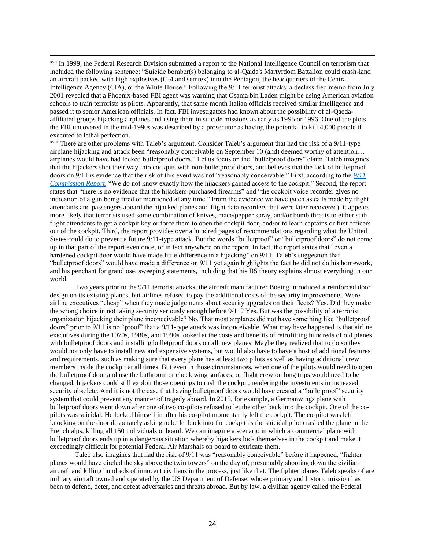xvii In 1999, the Federal Research Division submitted a report to the National Intelligence Council on terrorism that included the following sentence: "Suicide bomber(s) belonging to al-Qaida's Martyrdom Battalion could crash-land an aircraft packed with high explosives (C-4 and semtex) into the Pentagon, the headquarters of the Central Intelligence Agency (CIA), or the White House." Following the 9/11 terrorist attacks, a declassified memo from July 2001 revealed that a Phoenix-based FBI agent was warning that Osama bin Laden might be using American aviation schools to train terrorists as pilots. Apparently, that same month Italian officials received similar intelligence and passed it to senior American officials. In fact, FBI investigators had known about the possibility of al-Qaedaaffiliated groups hijacking airplanes and using them in suicide missions as early as 1995 or 1996. One of the plots the FBI uncovered in the mid-1990s was described by a prosecutor as having the potential to kill 4,000 people if executed to lethal perfection.

xviii There are other problems with Taleb's argument. Consider Taleb's argument that had the risk of a 9/11-type airplane hijacking and attack been "reasonably conceivable on September 10 (and) deemed worthy of attention… airplanes would have had locked bulletproof doors." Let us focus on the "bulletproof doors" claim. Taleb imagines that the hijackers shot their way into cockpits with non-bulletproof doors, and believes that the lack of bulletproof doors on 9/11 is evidence that the risk of this event was not "reasonably conceivable." First, according to the *[9/11](https://www.9-11commission.gov/report/911Report.pdf)  [Commission Report](https://www.9-11commission.gov/report/911Report.pdf)*, "We do not know exactly how the hijackers gained access to the cockpit." Second, the report states that "there is no evidence that the hijackers purchased firearms" and "the cockpit voice recorder gives no indication of a gun being fired or mentioned at any time." From the evidence we have (such as calls made by flight attendants and passengers aboard the hijacked planes and flight data recorders that were later recovered), it appears more likely that terrorists used some combination of knives, mace/pepper spray, and/or bomb threats to either stab flight attendants to get a cockpit key or force them to open the cockpit door, and/or to learn captains or first officers out of the cockpit. Third, the report provides over a hundred pages of recommendations regarding what the United States could do to prevent a future 9/11-type attack. But the words "bulletproof" or "bulletproof doors" do not come up in that part of the report even once, or in fact anywhere on the report. In fact, the report states that "even a hardened cockpit door would have made little difference in a hijacking" on 9/11. Taleb's suggestion that "bulletproof doors" would have made a difference on 9/11 yet again highlights the fact he did not do his homework, and his penchant for grandiose, sweeping statements, including that his BS theory explains almost everything in our world.

Two years prior to the 9/11 terrorist attacks, the aircraft manufacturer Boeing introduced a reinforced door design on its existing planes, but airlines refused to pay the additional costs of the security improvements. Were airline executives "cheap" when they made judgements about security upgrades on their fleets? Yes. Did they make the wrong choice in not taking security seriously enough before 9/11? Yes. But was the possibility of a terrorist organization hijacking their plane inconceivable? No. That most airplanes did not have something like "bulletproof doors" prior to 9/11 is no "proof" that a 9/11-type attack was inconceivable. What may have happened is that airline executives during the 1970s, 1980s, and 1990s looked at the costs and benefits of retrofitting hundreds of old planes with bulletproof doors and installing bulletproof doors on all new planes. Maybe they realized that to do so they would not only have to install new and expensive systems, but would also have to have a host of additional features and requirements, such as making sure that every plane has at least two pilots as well as having additional crew members inside the cockpit at all times. But even in those circumstances, when one of the pilots would need to open the bulletproof door and use the bathroom or check wing surfaces, or flight crew on long trips would need to be changed, hijackers could still exploit those openings to rush the cockpit, rendering the investments in increased security obsolete. And it is not the case that having bulletproof doors would have created a "bulletproof" security system that could prevent any manner of tragedy aboard. In 2015, for example, a Germanwings plane with bulletproof doors went down after one of two co-pilots refused to let the other back into the cockpit. One of the copilots was suicidal. He locked himself in after his co-pilot momentarily left the cockpit. The co-pilot was left knocking on the door desperately asking to be let back into the cockpit as the suicidal pilot crashed the plane in the French alps, killing all 150 individuals onboard. We can imagine a scenario in which a commercial plane with bulletproof doors ends up in a dangerous situation whereby hijackers lock themselves in the cockpit and make it exceedingly difficult for potential Federal Air Marshals on board to extricate them.

Taleb also imagines that had the risk of 9/11 was "reasonably conceivable" before it happened, "fighter planes would have circled the sky above the twin towers" on the day of, presumably shooting down the civilian aircraft and killing hundreds of innocent civilians in the process, just like that. The fighter planes Taleb speaks of are military aircraft owned and operated by the US Department of Defense, whose primary and historic mission has been to defend, deter, and defeat adversaries and threats abroad. But by law, a civilian agency called the Federal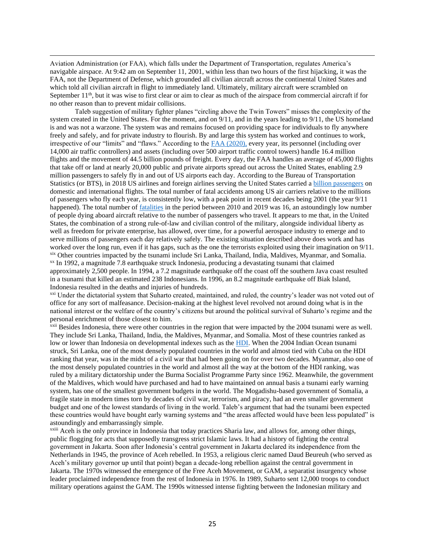Aviation Administration (or FAA), which falls under the Department of Transportation, regulates America's navigable airspace. At 9:42 am on September 11, 2001, within less than two hours of the first hijacking, it was the FAA, not the Department of Defense, which grounded all civilian aircraft across the continental United States and which told all civilian aircraft in flight to immediately land. Ultimately, military aircraft were scrambled on September 11<sup>th</sup>, but it was wise to first clear or aim to clear as much of the airspace from commercial aircraft if for no other reason than to prevent midair collisions.

Taleb suggestion of military fighter planes "circling above the Twin Towers" misses the complexity of the system created in the United States. For the moment, and on 9/11, and in the years leading to 9/11, the US homeland is and was not a warzone. The system was and remains focused on providing space for individuals to fly anywhere freely and safely, and for private industry to flourish. By and large this system has worked and continues to work, irrespective of our "limits" and "flaws." According to the [FAA \(2020\),](https://www.faa.gov/air_traffic/by_the_numbers/) every year, its personnel (including over 14,000 air traffic controllers) and assets (including over 500 airport traffic control towers) handle 16.4 million flights and the movement of 44.5 billion pounds of freight. Every day, the FAA handles an average of 45,000 flights that take off or land at nearly 20,000 public and private airports spread out across the United States, enabling 2.9 million passengers to safely fly in and out of US airports each day. According to the Bureau of Transportation Statistics (or BTS), in 2018 US airlines and foreign airlines serving the United States carried [a billion passengers](https://www.bts.dot.gov/newsroom/2018-traffic-data-us-airlines-and-foreign-airlines-us-flights) on domestic and international flights. The total number of fatal accidents among US air carriers relative to the millions of passengers who fly each year, is consistently low, with a peak point in recent decades being 2001 (the year 9/11 happened). The total number of [fatalities](https://www.bts.gov/content/us-air-carrier-safety-data) in the period between 2010 and 2019 was 16, an astoundingly low number of people dying aboard aircraft relative to the number of passengers who travel. It appears to me that, in the United States, the combination of a strong rule-of-law and civilian control of the military, alongside individual liberty as well as freedom for private enterprise, has allowed, over time, for a powerful aerospace industry to emerge and to serve millions of passengers each day relatively safely. The existing situation described above does work and has worked over the long run, even if it has gaps, such as the one the terrorists exploited using their imagination on 9/11. xix Other countries impacted by the tsunami include Sri Lanka, Thailand, India, Maldives, Myanmar, and Somalia. xx In 1992, a magnitude 7.8 earthquake struck Indonesia, producing a devastating tsunami that claimed approximately 2,500 people. In 1994, a 7.2 magnitude earthquake off the coast off the southern Java coast resulted in a tsunami that killed an estimated 238 Indonesians. In 1996, an 8.2 magnitude earthquake off Biak Island, Indonesia resulted in the deaths and injuries of hundreds.

xxi Under the dictatorial system that Suharto created, maintained, and ruled, the country's leader was not voted out of office for any sort of malfeasance. Decision-making at the highest level revolved not around doing what is in the national interest or the welfare of the country's citizens but around the political survival of Suharto's regime and the personal enrichment of those closest to him.

xxii Besides Indonesia, there were other countries in the region that were impacted by the 2004 tsunami were as well. They include Sri Lanka, Thailand, India, the Maldives, Myanmar, and Somalia. Most of these countries ranked as low or lower than Indonesia on developmental indexes such as the [HDI.](https://countryeconomy.com/hdi?year=2003) When the 2004 Indian Ocean tsunami struck, Sri Lanka, one of the most densely populated countries in the world and almost tied with Cuba on the HDI ranking that year, was in the midst of a civil war that had been going on for over two decades. Myanmar, also one of the most densely populated countries in the world and almost all the way at the bottom of the HDI ranking, was ruled by a military dictatorship under the Burma Socialist Programme Party since 1962. Meanwhile, the government of the Maldives, which would have purchased and had to have maintained on annual basis a tsunami early warning system, has one of the smallest government budgets in the world. The Mogadishu-based government of Somalia, a fragile state in modern times torn by decades of civil war, terrorism, and piracy, had an even smaller government budget and one of the lowest standards of living in the world. Taleb's argument that had the tsunami been expected these countries would have bought early warning systems and "the areas affected would have been less populated" is astoundingly and embarrassingly simple.

xxiii Aceh is the only province in Indonesia that today practices Sharia law, and allows for, among other things, public flogging for acts that supposedly transgress strict Islamic laws. It had a history of fighting the central government in Jakarta. Soon after Indonesia's central government in Jakarta declared its independence from the Netherlands in 1945, the province of Aceh rebelled. In 1953, a religious cleric named Daud Beureuh (who served as Aceh's military governor up until that point) began a decade-long rebellion against the central government in Jakarta. The 1970s witnessed the emergence of the Free Aceh Movement, or GAM, a separatist insurgency whose leader proclaimed independence from the rest of Indonesia in 1976. In 1989, Suharto sent 12,000 troops to conduct military operations against the GAM. The 1990s witnessed intense fighting between the Indonesian military and